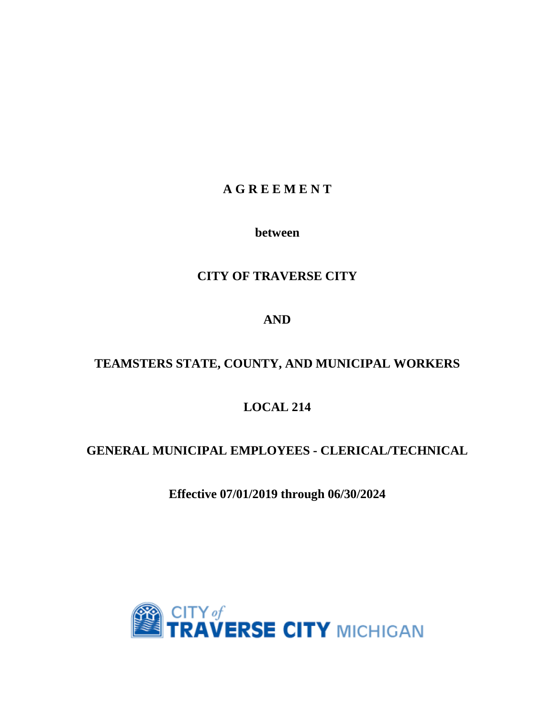# **A G R E E M E N T**

**between**

# **CITY OF TRAVERSE CITY**

**AND**

# **TEAMSTERS STATE, COUNTY, AND MUNICIPAL WORKERS**

# **LOCAL 214**

# **GENERAL MUNICIPAL EMPLOYEES - CLERICAL/TECHNICAL**

**Effective 07/01/2019 through 06/30/2024**

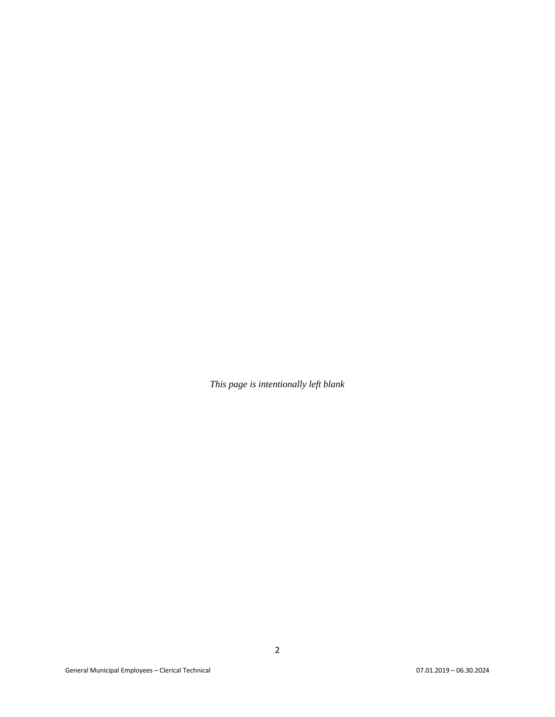*This page is intentionally left blank*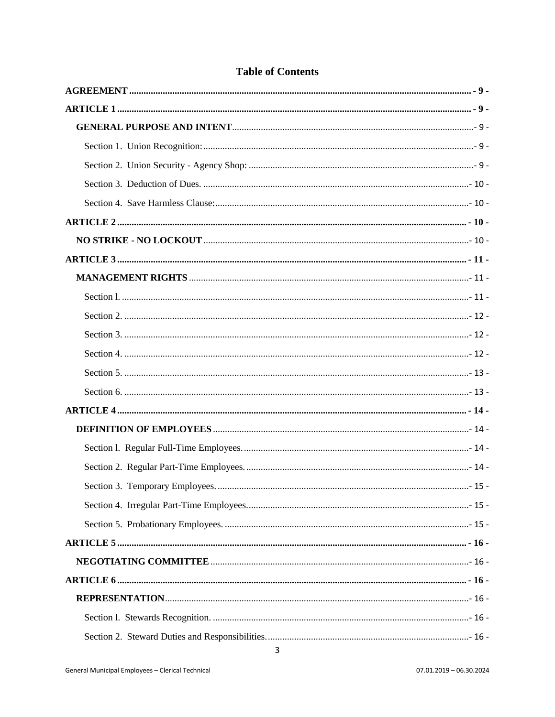## **Table of Contents**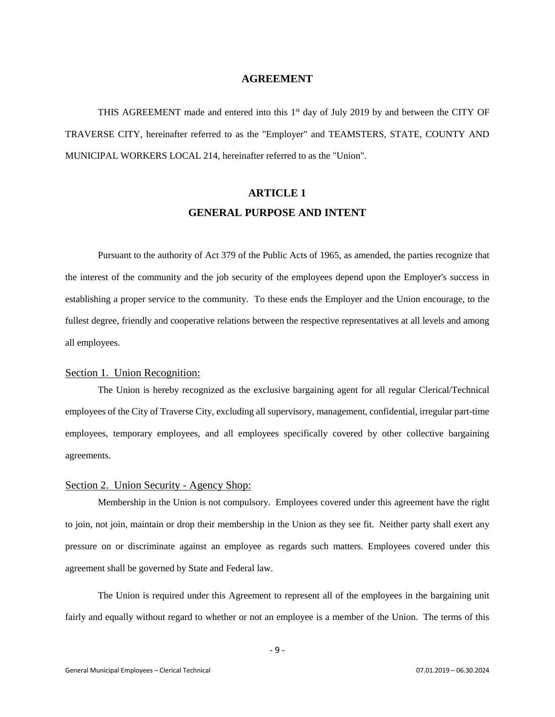#### **AGREEMENT**

<span id="page-8-1"></span><span id="page-8-0"></span>THIS AGREEMENT made and entered into this  $1<sup>st</sup>$  day of July 2019 by and between the CITY OF TRAVERSE CITY, hereinafter referred to as the "Employer" and TEAMSTERS, STATE, COUNTY AND MUNICIPAL WORKERS LOCAL 214, hereinafter referred to as the "Union".

## **ARTICLE 1 GENERAL PURPOSE AND INTENT**

<span id="page-8-2"></span>Pursuant to the authority of Act 379 of the Public Acts of 1965, as amended, the parties recognize that the interest of the community and the job security of the employees depend upon the Employer's success in establishing a proper service to the community. To these ends the Employer and the Union encourage, to the fullest degree, friendly and cooperative relations between the respective representatives at all levels and among all employees.

### <span id="page-8-3"></span>Section 1. Union Recognition:

The Union is hereby recognized as the exclusive bargaining agent for all regular Clerical/Technical employees of the City of Traverse City, excluding all supervisory, management, confidential, irregular part-time employees, temporary employees, and all employees specifically covered by other collective bargaining agreements.

#### <span id="page-8-4"></span>Section 2. Union Security - Agency Shop:

Membership in the Union is not compulsory. Employees covered under this agreement have the right to join, not join, maintain or drop their membership in the Union as they see fit. Neither party shall exert any pressure on or discriminate against an employee as regards such matters. Employees covered under this agreement shall be governed by State and Federal law.

The Union is required under this Agreement to represent all of the employees in the bargaining unit fairly and equally without regard to whether or not an employee is a member of the Union. The terms of this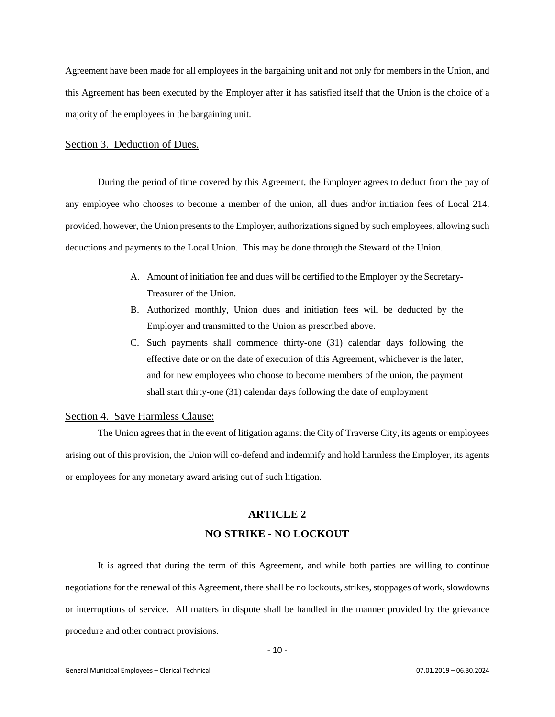Agreement have been made for all employees in the bargaining unit and not only for members in the Union, and this Agreement has been executed by the Employer after it has satisfied itself that the Union is the choice of a majority of the employees in the bargaining unit.

## <span id="page-9-0"></span>Section 3. Deduction of Dues.

During the period of time covered by this Agreement, the Employer agrees to deduct from the pay of any employee who chooses to become a member of the union, all dues and/or initiation fees of Local 214, provided, however, the Union presents to the Employer, authorizations signed by such employees, allowing such deductions and payments to the Local Union. This may be done through the Steward of the Union.

- A. Amount of initiation fee and dues will be certified to the Employer by the Secretary-Treasurer of the Union.
- B. Authorized monthly, Union dues and initiation fees will be deducted by the Employer and transmitted to the Union as prescribed above.
- C. Such payments shall commence thirty-one (31) calendar days following the effective date or on the date of execution of this Agreement, whichever is the later, and for new employees who choose to become members of the union, the payment shall start thirty-one (31) calendar days following the date of employment

## <span id="page-9-1"></span>Section 4. Save Harmless Clause:

The Union agrees that in the event of litigation against the City of Traverse City, its agents or employees arising out of this provision, the Union will co-defend and indemnify and hold harmless the Employer, its agents or employees for any monetary award arising out of such litigation.

# **ARTICLE 2 NO STRIKE - NO LOCKOUT**

<span id="page-9-3"></span><span id="page-9-2"></span>It is agreed that during the term of this Agreement, and while both parties are willing to continue negotiations for the renewal of this Agreement, there shall be no lockouts, strikes, stoppages of work, slowdowns or interruptions of service. All matters in dispute shall be handled in the manner provided by the grievance procedure and other contract provisions.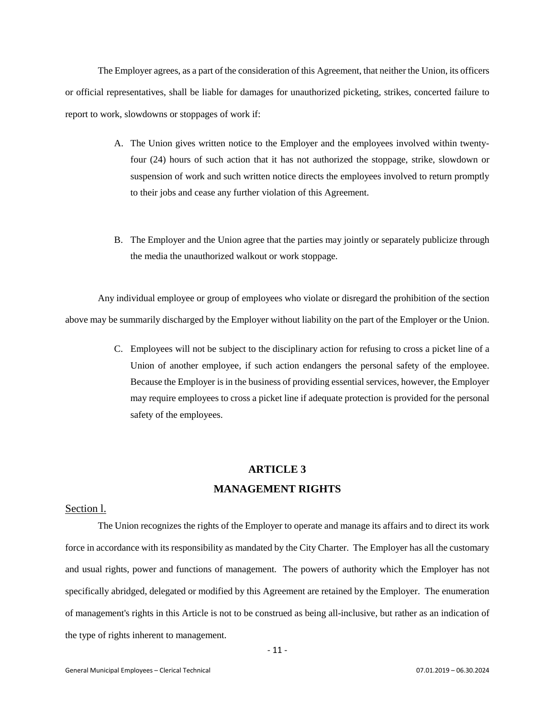The Employer agrees, as a part of the consideration of this Agreement, that neither the Union, its officers or official representatives, shall be liable for damages for unauthorized picketing, strikes, concerted failure to report to work, slowdowns or stoppages of work if:

- A. The Union gives written notice to the Employer and the employees involved within twentyfour (24) hours of such action that it has not authorized the stoppage, strike, slowdown or suspension of work and such written notice directs the employees involved to return promptly to their jobs and cease any further violation of this Agreement.
- B. The Employer and the Union agree that the parties may jointly or separately publicize through the media the unauthorized walkout or work stoppage.

Any individual employee or group of employees who violate or disregard the prohibition of the section above may be summarily discharged by the Employer without liability on the part of the Employer or the Union.

> C. Employees will not be subject to the disciplinary action for refusing to cross a picket line of a Union of another employee, if such action endangers the personal safety of the employee. Because the Employer is in the business of providing essential services, however, the Employer may require employees to cross a picket line if adequate protection is provided for the personal safety of the employees.

## **ARTICLE 3**

## **MANAGEMENT RIGHTS**

#### <span id="page-10-2"></span><span id="page-10-1"></span><span id="page-10-0"></span>Section l.

The Union recognizes the rights of the Employer to operate and manage its affairs and to direct its work force in accordance with its responsibility as mandated by the City Charter. The Employer has all the customary and usual rights, power and functions of management. The powers of authority which the Employer has not specifically abridged, delegated or modified by this Agreement are retained by the Employer. The enumeration of management's rights in this Article is not to be construed as being all-inclusive, but rather as an indication of the type of rights inherent to management.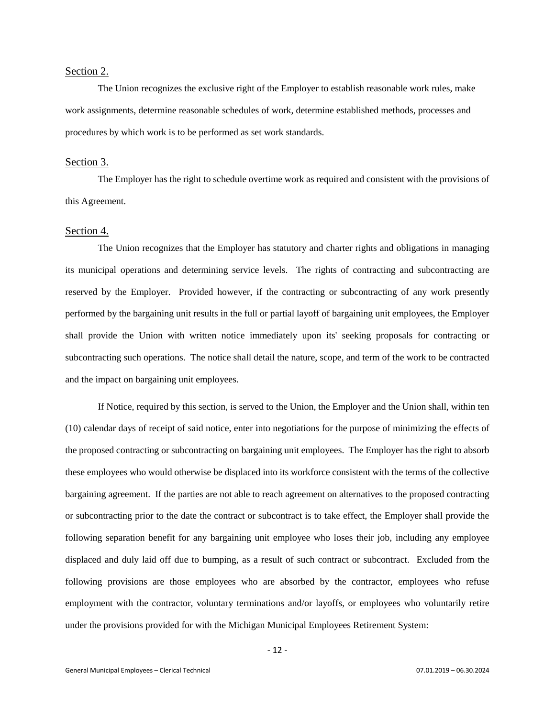#### <span id="page-11-0"></span>Section 2.

The Union recognizes the exclusive right of the Employer to establish reasonable work rules, make work assignments, determine reasonable schedules of work, determine established methods, processes and procedures by which work is to be performed as set work standards.

#### <span id="page-11-1"></span>Section 3.

The Employer has the right to schedule overtime work as required and consistent with the provisions of this Agreement.

#### <span id="page-11-2"></span>Section 4.

The Union recognizes that the Employer has statutory and charter rights and obligations in managing its municipal operations and determining service levels. The rights of contracting and subcontracting are reserved by the Employer. Provided however, if the contracting or subcontracting of any work presently performed by the bargaining unit results in the full or partial layoff of bargaining unit employees, the Employer shall provide the Union with written notice immediately upon its' seeking proposals for contracting or subcontracting such operations. The notice shall detail the nature, scope, and term of the work to be contracted and the impact on bargaining unit employees.

If Notice, required by this section, is served to the Union, the Employer and the Union shall, within ten (10) calendar days of receipt of said notice, enter into negotiations for the purpose of minimizing the effects of the proposed contracting or subcontracting on bargaining unit employees. The Employer has the right to absorb these employees who would otherwise be displaced into its workforce consistent with the terms of the collective bargaining agreement. If the parties are not able to reach agreement on alternatives to the proposed contracting or subcontracting prior to the date the contract or subcontract is to take effect, the Employer shall provide the following separation benefit for any bargaining unit employee who loses their job, including any employee displaced and duly laid off due to bumping, as a result of such contract or subcontract. Excluded from the following provisions are those employees who are absorbed by the contractor, employees who refuse employment with the contractor, voluntary terminations and/or layoffs, or employees who voluntarily retire under the provisions provided for with the Michigan Municipal Employees Retirement System: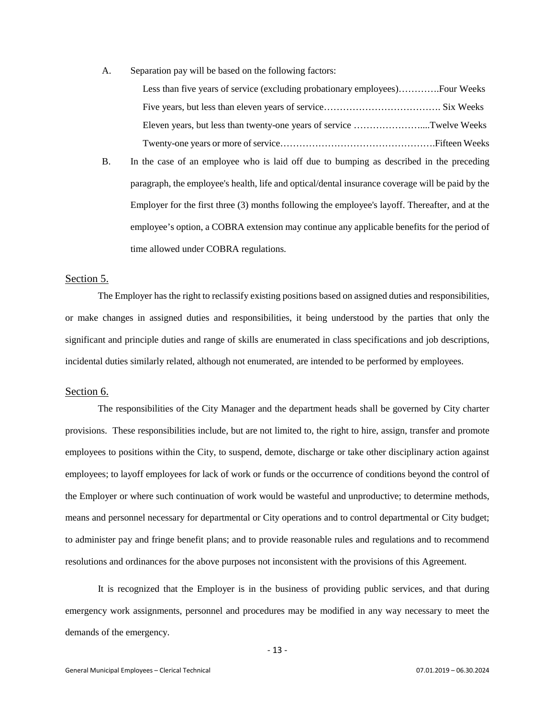A. Separation pay will be based on the following factors:

| Eleven years, but less than twenty-one years of service Twelve Weeks |  |
|----------------------------------------------------------------------|--|
|                                                                      |  |

B. In the case of an employee who is laid off due to bumping as described in the preceding paragraph, the employee's health, life and optical/dental insurance coverage will be paid by the Employer for the first three (3) months following the employee's layoff. Thereafter, and at the employee's option, a COBRA extension may continue any applicable benefits for the period of time allowed under COBRA regulations.

#### <span id="page-12-0"></span>Section 5.

The Employer has the right to reclassify existing positions based on assigned duties and responsibilities, or make changes in assigned duties and responsibilities, it being understood by the parties that only the significant and principle duties and range of skills are enumerated in class specifications and job descriptions, incidental duties similarly related, although not enumerated, are intended to be performed by employees.

#### <span id="page-12-1"></span>Section 6.

The responsibilities of the City Manager and the department heads shall be governed by City charter provisions. These responsibilities include, but are not limited to, the right to hire, assign, transfer and promote employees to positions within the City, to suspend, demote, discharge or take other disciplinary action against employees; to layoff employees for lack of work or funds or the occurrence of conditions beyond the control of the Employer or where such continuation of work would be wasteful and unproductive; to determine methods, means and personnel necessary for departmental or City operations and to control departmental or City budget; to administer pay and fringe benefit plans; and to provide reasonable rules and regulations and to recommend resolutions and ordinances for the above purposes not inconsistent with the provisions of this Agreement.

It is recognized that the Employer is in the business of providing public services, and that during emergency work assignments, personnel and procedures may be modified in any way necessary to meet the demands of the emergency.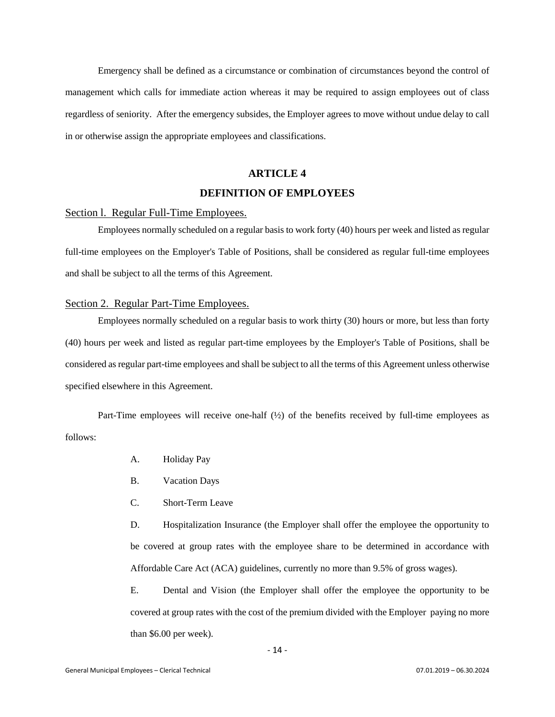Emergency shall be defined as a circumstance or combination of circumstances beyond the control of management which calls for immediate action whereas it may be required to assign employees out of class regardless of seniority. After the emergency subsides, the Employer agrees to move without undue delay to call in or otherwise assign the appropriate employees and classifications.

## **ARTICLE 4**

## **DEFINITION OF EMPLOYEES**

#### <span id="page-13-2"></span><span id="page-13-1"></span><span id="page-13-0"></span>Section 1. Regular Full-Time Employees.

Employees normally scheduled on a regular basis to work forty (40) hours per week and listed as regular full-time employees on the Employer's Table of Positions, shall be considered as regular full-time employees and shall be subject to all the terms of this Agreement.

## <span id="page-13-3"></span>Section 2. Regular Part-Time Employees.

Employees normally scheduled on a regular basis to work thirty (30) hours or more, but less than forty (40) hours per week and listed as regular part-time employees by the Employer's Table of Positions, shall be considered as regular part-time employees and shall be subject to all the terms of this Agreement unless otherwise specified elsewhere in this Agreement.

Part-Time employees will receive one-half  $(\frac{1}{2})$  of the benefits received by full-time employees as follows:

- A. Holiday Pay
- B. Vacation Days
- C. Short-Term Leave

D. Hospitalization Insurance (the Employer shall offer the employee the opportunity to be covered at group rates with the employee share to be determined in accordance with Affordable Care Act (ACA) guidelines, currently no more than 9.5% of gross wages).

E. Dental and Vision (the Employer shall offer the employee the opportunity to be covered at group rates with the cost of the premium divided with the Employer paying no more than \$6.00 per week).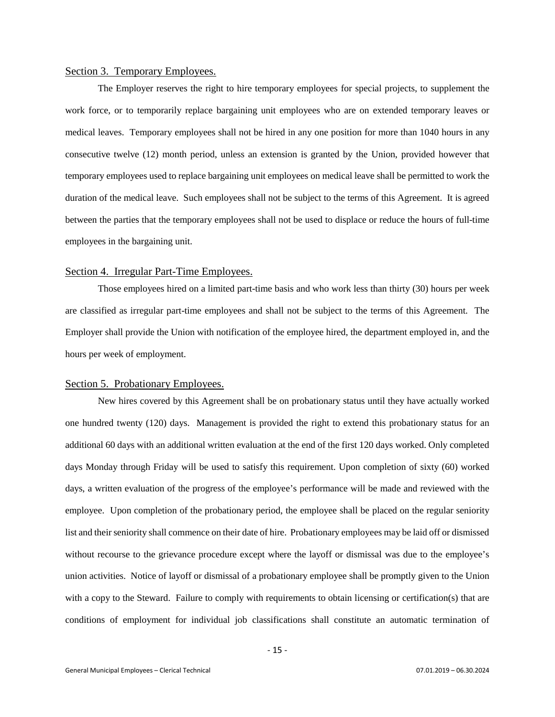### <span id="page-14-0"></span>Section 3. Temporary Employees.

The Employer reserves the right to hire temporary employees for special projects, to supplement the work force, or to temporarily replace bargaining unit employees who are on extended temporary leaves or medical leaves. Temporary employees shall not be hired in any one position for more than 1040 hours in any consecutive twelve (12) month period, unless an extension is granted by the Union, provided however that temporary employees used to replace bargaining unit employees on medical leave shall be permitted to work the duration of the medical leave. Such employees shall not be subject to the terms of this Agreement. It is agreed between the parties that the temporary employees shall not be used to displace or reduce the hours of full-time employees in the bargaining unit.

#### <span id="page-14-1"></span>Section 4. Irregular Part-Time Employees.

Those employees hired on a limited part-time basis and who work less than thirty (30) hours per week are classified as irregular part-time employees and shall not be subject to the terms of this Agreement. The Employer shall provide the Union with notification of the employee hired, the department employed in, and the hours per week of employment.

#### <span id="page-14-2"></span>Section 5. Probationary Employees.

New hires covered by this Agreement shall be on probationary status until they have actually worked one hundred twenty (120) days. Management is provided the right to extend this probationary status for an additional 60 days with an additional written evaluation at the end of the first 120 days worked. Only completed days Monday through Friday will be used to satisfy this requirement. Upon completion of sixty (60) worked days, a written evaluation of the progress of the employee's performance will be made and reviewed with the employee. Upon completion of the probationary period, the employee shall be placed on the regular seniority list and their seniority shall commence on their date of hire. Probationary employees may be laid off or dismissed without recourse to the grievance procedure except where the layoff or dismissal was due to the employee's union activities. Notice of layoff or dismissal of a probationary employee shall be promptly given to the Union with a copy to the Steward. Failure to comply with requirements to obtain licensing or certification(s) that are conditions of employment for individual job classifications shall constitute an automatic termination of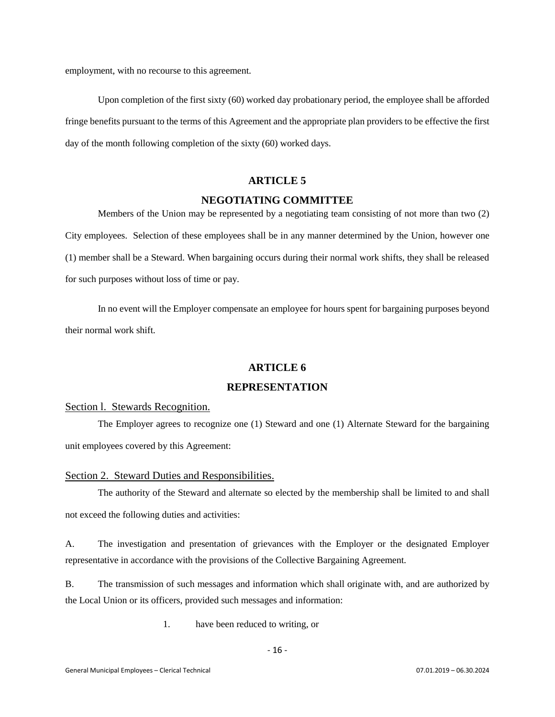employment, with no recourse to this agreement.

Upon completion of the first sixty (60) worked day probationary period, the employee shall be afforded fringe benefits pursuant to the terms of this Agreement and the appropriate plan providers to be effective the first day of the month following completion of the sixty (60) worked days.

## **ARTICLE 5**

## **NEGOTIATING COMMITTEE**

<span id="page-15-1"></span><span id="page-15-0"></span>Members of the Union may be represented by a negotiating team consisting of not more than two (2) City employees. Selection of these employees shall be in any manner determined by the Union*,* however one (1) member shall be a Steward. When bargaining occurs during their normal work shifts, they shall be released for such purposes without loss of time or pay.

In no event will the Employer compensate an employee for hours spent for bargaining purposes beyond their normal work shift.

## **ARTICLE 6**

## **REPRESENTATION**

### <span id="page-15-4"></span><span id="page-15-3"></span><span id="page-15-2"></span>Section l. Stewards Recognition.

The Employer agrees to recognize one (1) Steward and one (1) Alternate Steward for the bargaining unit employees covered by this Agreement:

#### <span id="page-15-5"></span>Section 2. Steward Duties and Responsibilities.

The authority of the Steward and alternate so elected by the membership shall be limited to and shall not exceed the following duties and activities:

A. The investigation and presentation of grievances with the Employer or the designated Employer representative in accordance with the provisions of the Collective Bargaining Agreement.

B. The transmission of such messages and information which shall originate with, and are authorized by the Local Union or its officers, provided such messages and information:

1. have been reduced to writing, or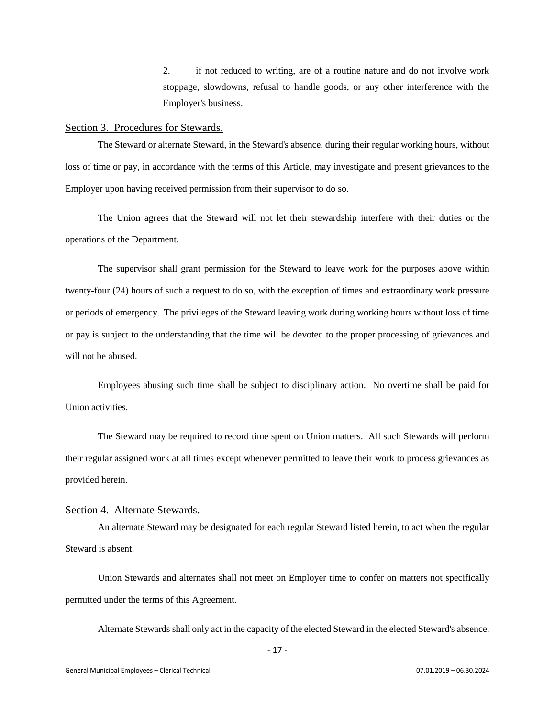2. if not reduced to writing, are of a routine nature and do not involve work stoppage, slowdowns, refusal to handle goods, or any other interference with the Employer's business.

#### <span id="page-16-0"></span>Section 3. Procedures for Stewards.

The Steward or alternate Steward, in the Steward's absence, during their regular working hours, without loss of time or pay, in accordance with the terms of this Article, may investigate and present grievances to the Employer upon having received permission from their supervisor to do so.

The Union agrees that the Steward will not let their stewardship interfere with their duties or the operations of the Department.

The supervisor shall grant permission for the Steward to leave work for the purposes above within twenty-four (24) hours of such a request to do so, with the exception of times and extraordinary work pressure or periods of emergency. The privileges of the Steward leaving work during working hours without loss of time or pay is subject to the understanding that the time will be devoted to the proper processing of grievances and will not be abused.

Employees abusing such time shall be subject to disciplinary action. No overtime shall be paid for Union activities.

The Steward may be required to record time spent on Union matters. All such Stewards will perform their regular assigned work at all times except whenever permitted to leave their work to process grievances as provided herein.

## <span id="page-16-1"></span>Section 4. Alternate Stewards.

An alternate Steward may be designated for each regular Steward listed herein, to act when the regular Steward is absent.

Union Stewards and alternates shall not meet on Employer time to confer on matters not specifically permitted under the terms of this Agreement.

Alternate Stewards shall only act in the capacity of the elected Steward in the elected Steward's absence.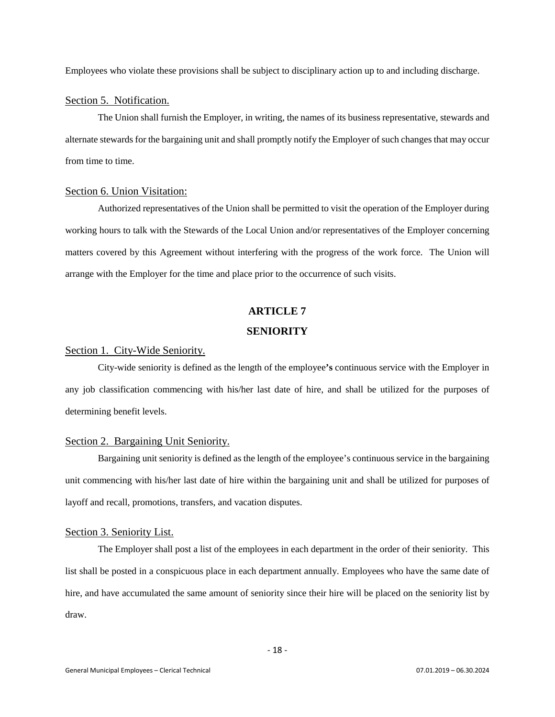Employees who violate these provisions shall be subject to disciplinary action up to and including discharge.

## <span id="page-17-0"></span>Section 5. Notification.

The Union shall furnish the Employer, in writing, the names of its business representative, stewards and alternate stewards for the bargaining unit and shall promptly notify the Employer of such changes that may occur from time to time.

#### <span id="page-17-1"></span>Section 6. Union Visitation:

Authorized representatives of the Union shall be permitted to visit the operation of the Employer during working hours to talk with the Stewards of the Local Union and/or representatives of the Employer concerning matters covered by this Agreement without interfering with the progress of the work force. The Union will arrange with the Employer for the time and place prior to the occurrence of such visits.

# **ARTICLE 7 SENIORITY**

#### <span id="page-17-4"></span><span id="page-17-3"></span><span id="page-17-2"></span>Section 1. City-Wide Seniority.

City-wide seniority is defined as the length of the employee**'s** continuous service with the Employer in any job classification commencing with his/her last date of hire, and shall be utilized for the purposes of determining benefit levels.

#### <span id="page-17-5"></span>Section 2. Bargaining Unit Seniority.

Bargaining unit seniority is defined as the length of the employee's continuous service in the bargaining unit commencing with his/her last date of hire within the bargaining unit and shall be utilized for purposes of layoff and recall, promotions, transfers, and vacation disputes.

#### <span id="page-17-6"></span>Section 3. Seniority List.

The Employer shall post a list of the employees in each department in the order of their seniority. This list shall be posted in a conspicuous place in each department annually. Employees who have the same date of hire, and have accumulated the same amount of seniority since their hire will be placed on the seniority list by draw.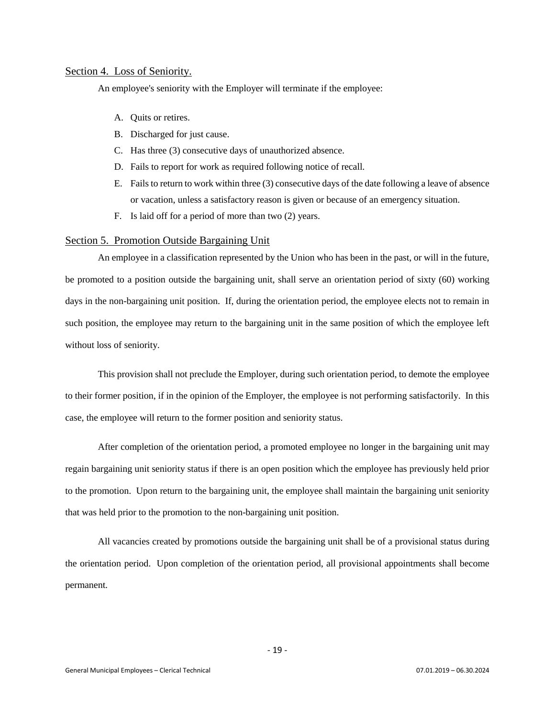## <span id="page-18-0"></span>Section 4. Loss of Seniority.

An employee's seniority with the Employer will terminate if the employee:

- A. Quits or retires.
- B. Discharged for just cause.
- C. Has three (3) consecutive days of unauthorized absence.
- D. Fails to report for work as required following notice of recall.
- E. Fails to return to work within three (3) consecutive days of the date following a leave of absence or vacation, unless a satisfactory reason is given or because of an emergency situation.
- F. Is laid off for a period of more than two (2) years.

#### <span id="page-18-1"></span>Section 5. Promotion Outside Bargaining Unit

An employee in a classification represented by the Union who has been in the past, or will in the future, be promoted to a position outside the bargaining unit, shall serve an orientation period of sixty (60) working days in the non-bargaining unit position. If, during the orientation period, the employee elects not to remain in such position, the employee may return to the bargaining unit in the same position of which the employee left without loss of seniority.

This provision shall not preclude the Employer, during such orientation period, to demote the employee to their former position, if in the opinion of the Employer, the employee is not performing satisfactorily. In this case, the employee will return to the former position and seniority status.

After completion of the orientation period, a promoted employee no longer in the bargaining unit may regain bargaining unit seniority status if there is an open position which the employee has previously held prior to the promotion. Upon return to the bargaining unit, the employee shall maintain the bargaining unit seniority that was held prior to the promotion to the non-bargaining unit position.

All vacancies created by promotions outside the bargaining unit shall be of a provisional status during the orientation period. Upon completion of the orientation period, all provisional appointments shall become permanent.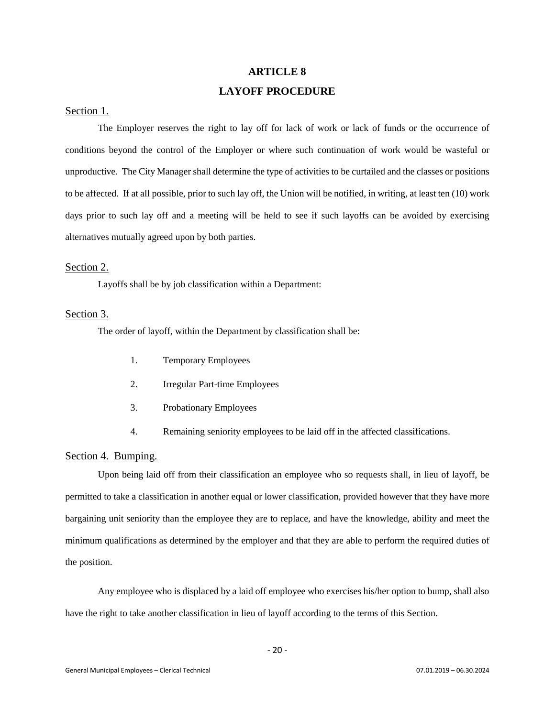# **ARTICLE 8 LAYOFF PROCEDURE**

## <span id="page-19-2"></span><span id="page-19-1"></span><span id="page-19-0"></span>Section 1.

The Employer reserves the right to lay off for lack of work or lack of funds or the occurrence of conditions beyond the control of the Employer or where such continuation of work would be wasteful or unproductive. The City Manager shall determine the type of activities to be curtailed and the classes or positions to be affected. If at all possible, prior to such lay off, the Union will be notified, in writing, at least ten (10) work days prior to such lay off and a meeting will be held to see if such layoffs can be avoided by exercising alternatives mutually agreed upon by both parties.

#### <span id="page-19-3"></span>Section 2.

Layoffs shall be by job classification within a Department:

## <span id="page-19-4"></span>Section 3.

The order of layoff, within the Department by classification shall be:

- 1. Temporary Employees
- 2. Irregular Part-time Employees
- 3. Probationary Employees
- 4. Remaining seniority employees to be laid off in the affected classifications.

#### <span id="page-19-5"></span>Section 4. Bumping.

Upon being laid off from their classification an employee who so requests shall, in lieu of layoff, be permitted to take a classification in another equal or lower classification, provided however that they have more bargaining unit seniority than the employee they are to replace, and have the knowledge, ability and meet the minimum qualifications as determined by the employer and that they are able to perform the required duties of the position.

Any employee who is displaced by a laid off employee who exercises his/her option to bump, shall also have the right to take another classification in lieu of layoff according to the terms of this Section.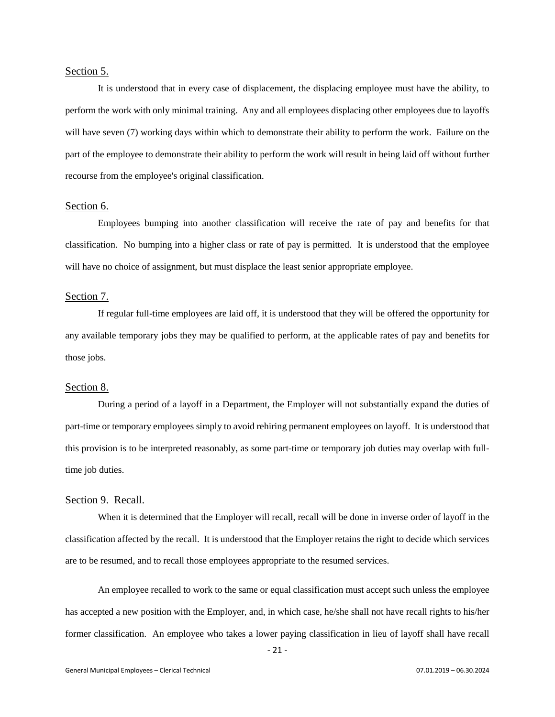#### <span id="page-20-0"></span>Section 5.

It is understood that in every case of displacement, the displacing employee must have the ability, to perform the work with only minimal training. Any and all employees displacing other employees due to layoffs will have seven (7) working days within which to demonstrate their ability to perform the work. Failure on the part of the employee to demonstrate their ability to perform the work will result in being laid off without further recourse from the employee's original classification.

## <span id="page-20-1"></span>Section 6.

Employees bumping into another classification will receive the rate of pay and benefits for that classification. No bumping into a higher class or rate of pay is permitted. It is understood that the employee will have no choice of assignment, but must displace the least senior appropriate employee.

## <span id="page-20-2"></span>Section 7.

If regular full-time employees are laid off, it is understood that they will be offered the opportunity for any available temporary jobs they may be qualified to perform, at the applicable rates of pay and benefits for those jobs.

## <span id="page-20-3"></span>Section 8.

During a period of a layoff in a Department, the Employer will not substantially expand the duties of part-time or temporary employees simply to avoid rehiring permanent employees on layoff. It is understood that this provision is to be interpreted reasonably, as some part-time or temporary job duties may overlap with fulltime job duties.

#### <span id="page-20-4"></span>Section 9. Recall.

When it is determined that the Employer will recall, recall will be done in inverse order of layoff in the classification affected by the recall. It is understood that the Employer retains the right to decide which services are to be resumed, and to recall those employees appropriate to the resumed services.

An employee recalled to work to the same or equal classification must accept such unless the employee has accepted a new position with the Employer, and, in which case, he/she shall not have recall rights to his/her former classification. An employee who takes a lower paying classification in lieu of layoff shall have recall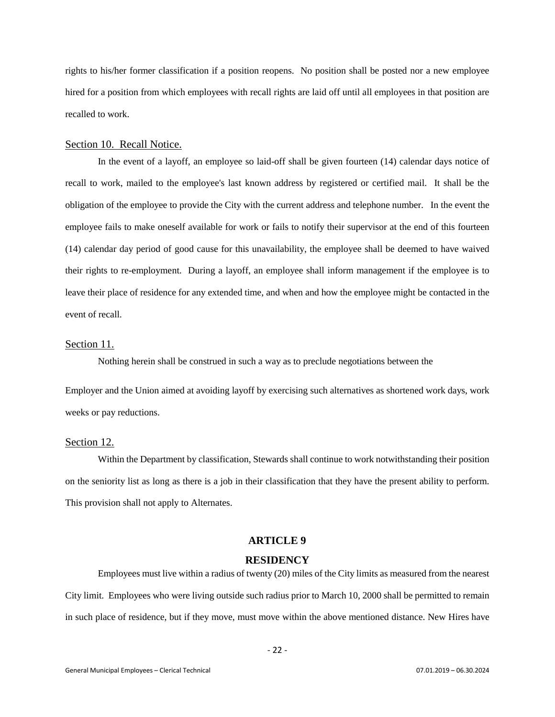rights to his/her former classification if a position reopens. No position shall be posted nor a new employee hired for a position from which employees with recall rights are laid off until all employees in that position are recalled to work.

### <span id="page-21-0"></span>Section 10. Recall Notice.

In the event of a layoff, an employee so laid-off shall be given fourteen (14) calendar days notice of recall to work, mailed to the employee's last known address by registered or certified mail. It shall be the obligation of the employee to provide the City with the current address and telephone number. In the event the employee fails to make oneself available for work or fails to notify their supervisor at the end of this fourteen (14) calendar day period of good cause for this unavailability, the employee shall be deemed to have waived their rights to re-employment. During a layoff, an employee shall inform management if the employee is to leave their place of residence for any extended time, and when and how the employee might be contacted in the event of recall.

#### <span id="page-21-1"></span>Section 11.

Nothing herein shall be construed in such a way as to preclude negotiations between the

Employer and the Union aimed at avoiding layoff by exercising such alternatives as shortened work days, work weeks or pay reductions.

## <span id="page-21-2"></span>Section 12.

Within the Department by classification, Stewards shall continue to work notwithstanding their position on the seniority list as long as there is a job in their classification that they have the present ability to perform. This provision shall not apply to Alternates.

## **ARTICLE 9**

#### **RESIDENCY**

<span id="page-21-4"></span><span id="page-21-3"></span>Employees must live within a radius of twenty (20) miles of the City limits as measured from the nearest City limit. Employees who were living outside such radius prior to March 10, 2000 shall be permitted to remain in such place of residence, but if they move, must move within the above mentioned distance. New Hires have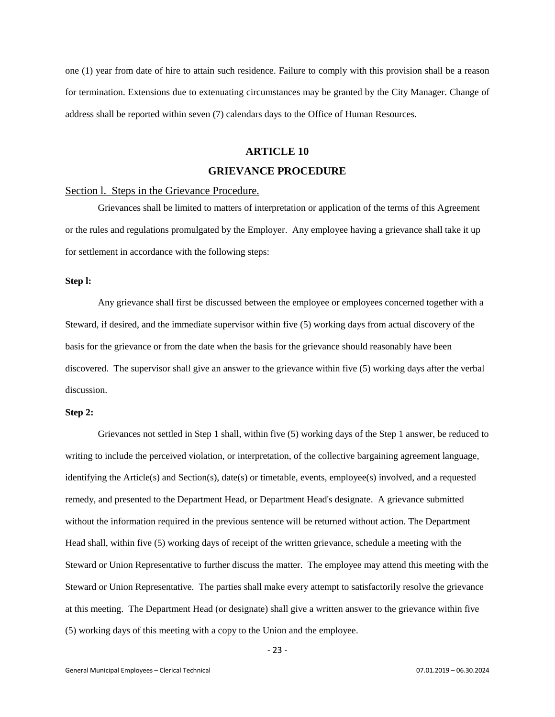one (1) year from date of hire to attain such residence. Failure to comply with this provision shall be a reason for termination. Extensions due to extenuating circumstances may be granted by the City Manager. Change of address shall be reported within seven (7) calendars days to the Office of Human Resources.

## **ARTICLE 10**

## **GRIEVANCE PROCEDURE**

#### <span id="page-22-2"></span><span id="page-22-1"></span><span id="page-22-0"></span>Section l. Steps in the Grievance Procedure.

Grievances shall be limited to matters of interpretation or application of the terms of this Agreement or the rules and regulations promulgated by the Employer. Any employee having a grievance shall take it up for settlement in accordance with the following steps:

#### **Step l:**

Any grievance shall first be discussed between the employee or employees concerned together with a Steward, if desired, and the immediate supervisor within five (5) working days from actual discovery of the basis for the grievance or from the date when the basis for the grievance should reasonably have been discovered. The supervisor shall give an answer to the grievance within five (5) working days after the verbal discussion.

#### **Step 2:**

Grievances not settled in Step 1 shall, within five (5) working days of the Step 1 answer, be reduced to writing to include the perceived violation, or interpretation, of the collective bargaining agreement language, identifying the Article(s) and Section(s), date(s) or timetable, events, employee(s) involved, and a requested remedy, and presented to the Department Head, or Department Head's designate. A grievance submitted without the information required in the previous sentence will be returned without action. The Department Head shall, within five (5) working days of receipt of the written grievance, schedule a meeting with the Steward or Union Representative to further discuss the matter. The employee may attend this meeting with the Steward or Union Representative. The parties shall make every attempt to satisfactorily resolve the grievance at this meeting. The Department Head (or designate) shall give a written answer to the grievance within five (5) working days of this meeting with a copy to the Union and the employee.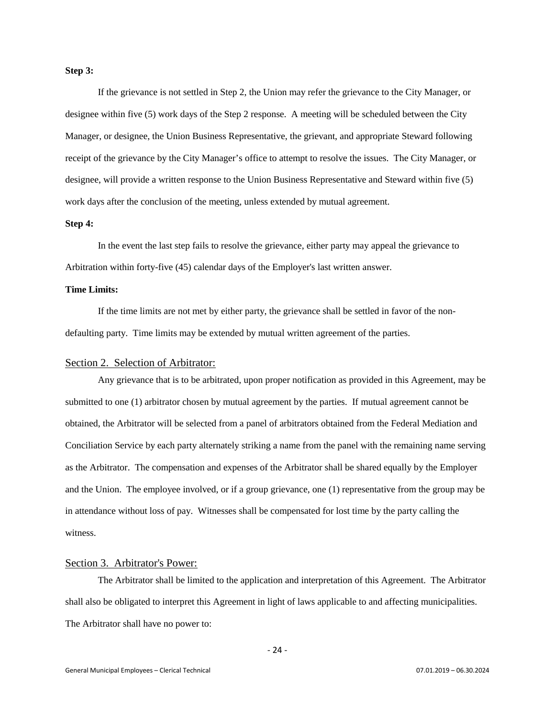#### **Step 3:**

If the grievance is not settled in Step 2, the Union may refer the grievance to the City Manager, or designee within five (5) work days of the Step 2 response. A meeting will be scheduled between the City Manager, or designee, the Union Business Representative, the grievant, and appropriate Steward following receipt of the grievance by the City Manager's office to attempt to resolve the issues. The City Manager, or designee, will provide a written response to the Union Business Representative and Steward within five (5) work days after the conclusion of the meeting, unless extended by mutual agreement.

## **Step 4:**

In the event the last step fails to resolve the grievance, either party may appeal the grievance to Arbitration within forty-five (45) calendar days of the Employer's last written answer.

## **Time Limits:**

If the time limits are not met by either party, the grievance shall be settled in favor of the nondefaulting party. Time limits may be extended by mutual written agreement of the parties.

#### <span id="page-23-0"></span>Section 2. Selection of Arbitrator:

Any grievance that is to be arbitrated, upon proper notification as provided in this Agreement, may be submitted to one (1) arbitrator chosen by mutual agreement by the parties. If mutual agreement cannot be obtained, the Arbitrator will be selected from a panel of arbitrators obtained from the Federal Mediation and Conciliation Service by each party alternately striking a name from the panel with the remaining name serving as the Arbitrator. The compensation and expenses of the Arbitrator shall be shared equally by the Employer and the Union. The employee involved, or if a group grievance, one (1) representative from the group may be in attendance without loss of pay. Witnesses shall be compensated for lost time by the party calling the witness.

## <span id="page-23-1"></span>Section 3. Arbitrator's Power:

The Arbitrator shall be limited to the application and interpretation of this Agreement. The Arbitrator shall also be obligated to interpret this Agreement in light of laws applicable to and affecting municipalities. The Arbitrator shall have no power to: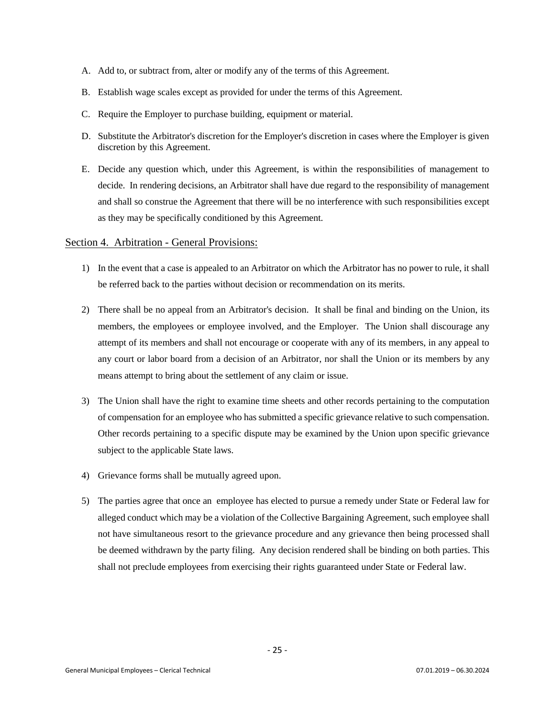- A. Add to, or subtract from, alter or modify any of the terms of this Agreement.
- B. Establish wage scales except as provided for under the terms of this Agreement.
- C. Require the Employer to purchase building, equipment or material.
- D. Substitute the Arbitrator's discretion for the Employer's discretion in cases where the Employer is given discretion by this Agreement.
- E. Decide any question which, under this Agreement, is within the responsibilities of management to decide. In rendering decisions, an Arbitrator shall have due regard to the responsibility of management and shall so construe the Agreement that there will be no interference with such responsibilities except as they may be specifically conditioned by this Agreement.

## <span id="page-24-0"></span>Section 4. Arbitration - General Provisions:

- 1) In the event that a case is appealed to an Arbitrator on which the Arbitrator has no power to rule, it shall be referred back to the parties without decision or recommendation on its merits.
- 2) There shall be no appeal from an Arbitrator's decision. It shall be final and binding on the Union, its members, the employees or employee involved, and the Employer. The Union shall discourage any attempt of its members and shall not encourage or cooperate with any of its members, in any appeal to any court or labor board from a decision of an Arbitrator, nor shall the Union or its members by any means attempt to bring about the settlement of any claim or issue.
- 3) The Union shall have the right to examine time sheets and other records pertaining to the computation of compensation for an employee who has submitted a specific grievance relative to such compensation. Other records pertaining to a specific dispute may be examined by the Union upon specific grievance subject to the applicable State laws.
- 4) Grievance forms shall be mutually agreed upon.
- 5) The parties agree that once an employee has elected to pursue a remedy under State or Federal law for alleged conduct which may be a violation of the Collective Bargaining Agreement, such employee shall not have simultaneous resort to the grievance procedure and any grievance then being processed shall be deemed withdrawn by the party filing. Any decision rendered shall be binding on both parties. This shall not preclude employees from exercising their rights guaranteed under State or Federal law.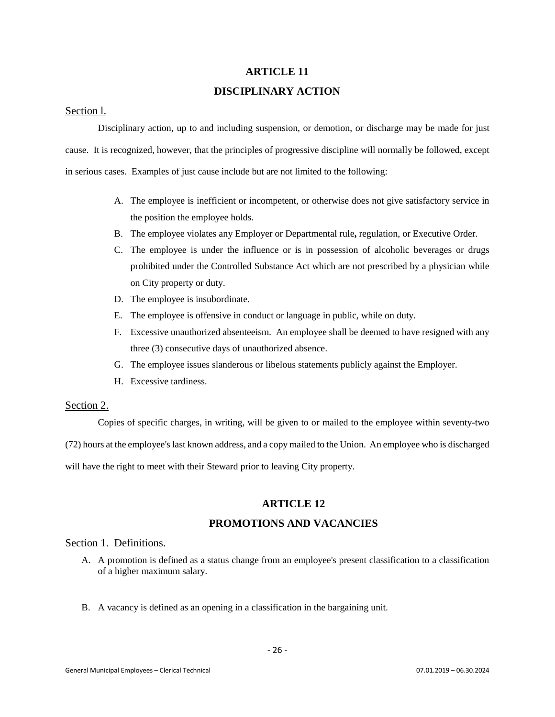## **DISCIPLINARY ACTION**

### <span id="page-25-2"></span><span id="page-25-1"></span><span id="page-25-0"></span>Section l.

Disciplinary action, up to and including suspension, or demotion, or discharge may be made for just cause. It is recognized, however, that the principles of progressive discipline will normally be followed, except in serious cases. Examples of just cause include but are not limited to the following:

- A. The employee is inefficient or incompetent, or otherwise does not give satisfactory service in the position the employee holds.
- B. The employee violates any Employer or Departmental rule**,** regulation, or Executive Order.
- C. The employee is under the influence or is in possession of alcoholic beverages or drugs prohibited under the Controlled Substance Act which are not prescribed by a physician while on City property or duty.
- D. The employee is insubordinate.
- E. The employee is offensive in conduct or language in public, while on duty.
- F. Excessive unauthorized absenteeism. An employee shall be deemed to have resigned with any three (3) consecutive days of unauthorized absence.
- G. The employee issues slanderous or libelous statements publicly against the Employer.
- H. Excessive tardiness.

### <span id="page-25-3"></span>Section 2.

Copies of specific charges, in writing, will be given to or mailed to the employee within seventy-two (72) hours at the employee's last known address, and a copy mailed to the Union. An employee who is discharged

will have the right to meet with their Steward prior to leaving City property.

## <span id="page-25-4"></span>**ARTICLE 12**

## <span id="page-25-5"></span>**PROMOTIONS AND VACANCIES**

#### <span id="page-25-6"></span>Section 1. Definitions.

- A. A promotion is defined as a status change from an employee's present classification to a classification of a higher maximum salary.
- B. A vacancy is defined as an opening in a classification in the bargaining unit.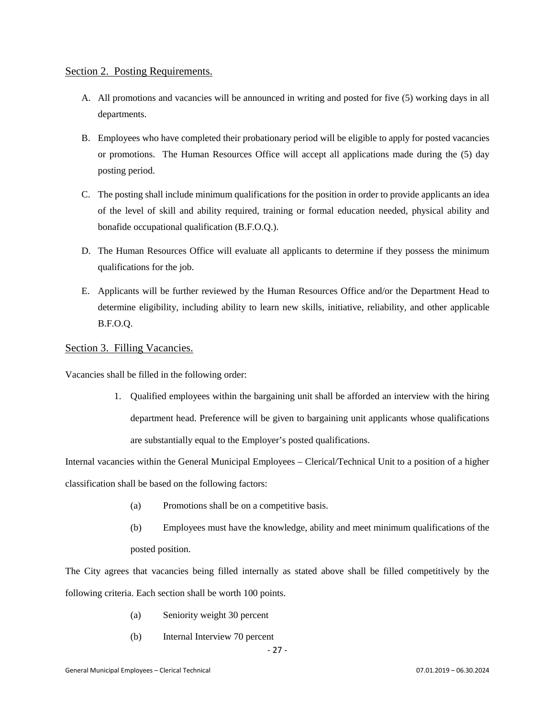## <span id="page-26-0"></span>Section 2. Posting Requirements.

- A. All promotions and vacancies will be announced in writing and posted for five (5) working days in all departments.
- B. Employees who have completed their probationary period will be eligible to apply for posted vacancies or promotions. The Human Resources Office will accept all applications made during the (5) day posting period.
- C. The posting shall include minimum qualifications for the position in order to provide applicants an idea of the level of skill and ability required, training or formal education needed, physical ability and bonafide occupational qualification (B.F.O.Q.).
- D. The Human Resources Office will evaluate all applicants to determine if they possess the minimum qualifications for the job.
- E. Applicants will be further reviewed by the Human Resources Office and/or the Department Head to determine eligibility, including ability to learn new skills, initiative, reliability, and other applicable B.F.O.Q.

## <span id="page-26-1"></span>Section 3. Filling Vacancies.

Vacancies shall be filled in the following order:

1. Qualified employees within the bargaining unit shall be afforded an interview with the hiring department head. Preference will be given to bargaining unit applicants whose qualifications are substantially equal to the Employer's posted qualifications.

Internal vacancies within the General Municipal Employees – Clerical/Technical Unit to a position of a higher classification shall be based on the following factors:

- (a) Promotions shall be on a competitive basis.
- (b) Employees must have the knowledge, ability and meet minimum qualifications of the posted position.

The City agrees that vacancies being filled internally as stated above shall be filled competitively by the following criteria. Each section shall be worth 100 points.

- (a) Seniority weight 30 percent
- (b) Internal Interview 70 percent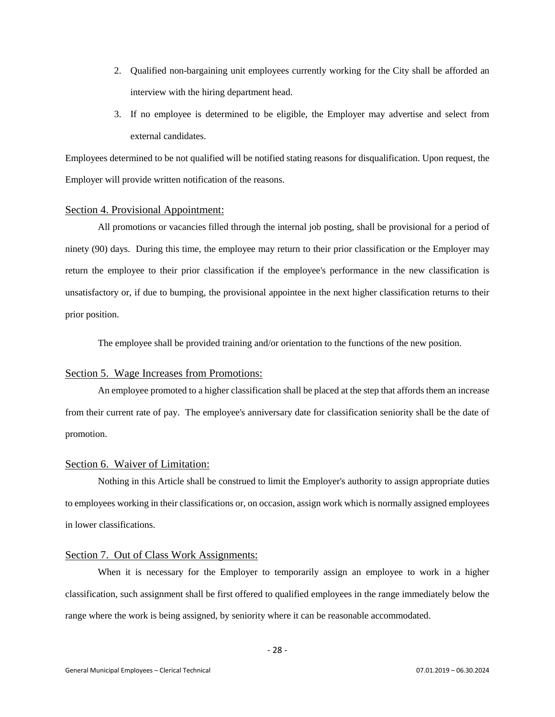- 2. Qualified non-bargaining unit employees currently working for the City shall be afforded an interview with the hiring department head.
- 3. If no employee is determined to be eligible, the Employer may advertise and select from external candidates.

Employees determined to be not qualified will be notified stating reasons for disqualification. Upon request, the Employer will provide written notification of the reasons.

#### <span id="page-27-0"></span>Section 4. Provisional Appointment:

All promotions or vacancies filled through the internal job posting, shall be provisional for a period of ninety (90) days. During this time, the employee may return to their prior classification or the Employer may return the employee to their prior classification if the employee's performance in the new classification is unsatisfactory or, if due to bumping, the provisional appointee in the next higher classification returns to their prior position.

The employee shall be provided training and/or orientation to the functions of the new position.

## <span id="page-27-1"></span>Section 5. Wage Increases from Promotions:

An employee promoted to a higher classification shall be placed at the step that affords them an increase from their current rate of pay. The employee's anniversary date for classification seniority shall be the date of promotion.

#### <span id="page-27-2"></span>Section 6. Waiver of Limitation:

Nothing in this Article shall be construed to limit the Employer's authority to assign appropriate duties to employees working in their classifications or, on occasion, assign work which is normally assigned employees in lower classifications.

#### <span id="page-27-3"></span>Section 7. Out of Class Work Assignments:

When it is necessary for the Employer to temporarily assign an employee to work in a higher classification, such assignment shall be first offered to qualified employees in the range immediately below the range where the work is being assigned, by seniority where it can be reasonable accommodated.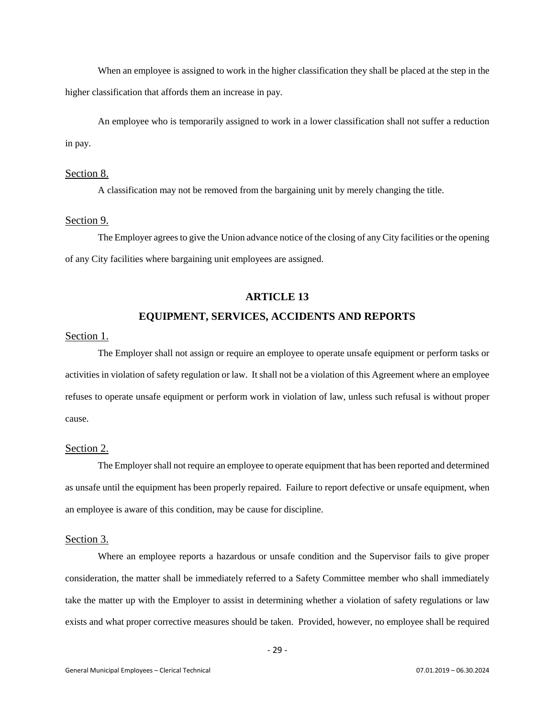When an employee is assigned to work in the higher classification they shall be placed at the step in the higher classification that affords them an increase in pay.

An employee who is temporarily assigned to work in a lower classification shall not suffer a reduction in pay.

#### <span id="page-28-0"></span>Section 8.

A classification may not be removed from the bargaining unit by merely changing the title.

## <span id="page-28-1"></span>Section 9.

The Employer agrees to give the Union advance notice of the closing of any City facilities or the opening of any City facilities where bargaining unit employees are assigned.

#### **ARTICLE 13**

## **EQUIPMENT, SERVICES, ACCIDENTS AND REPORTS**

#### <span id="page-28-4"></span><span id="page-28-3"></span><span id="page-28-2"></span>Section 1.

The Employer shall not assign or require an employee to operate unsafe equipment or perform tasks or activities in violation of safety regulation or law. It shall not be a violation of this Agreement where an employee refuses to operate unsafe equipment or perform work in violation of law, unless such refusal is without proper cause.

#### <span id="page-28-5"></span>Section 2.

The Employer shall not require an employee to operate equipment that has been reported and determined as unsafe until the equipment has been properly repaired. Failure to report defective or unsafe equipment, when an employee is aware of this condition, may be cause for discipline.

## <span id="page-28-6"></span>Section 3.

Where an employee reports a hazardous or unsafe condition and the Supervisor fails to give proper consideration, the matter shall be immediately referred to a Safety Committee member who shall immediately take the matter up with the Employer to assist in determining whether a violation of safety regulations or law exists and what proper corrective measures should be taken. Provided, however, no employee shall be required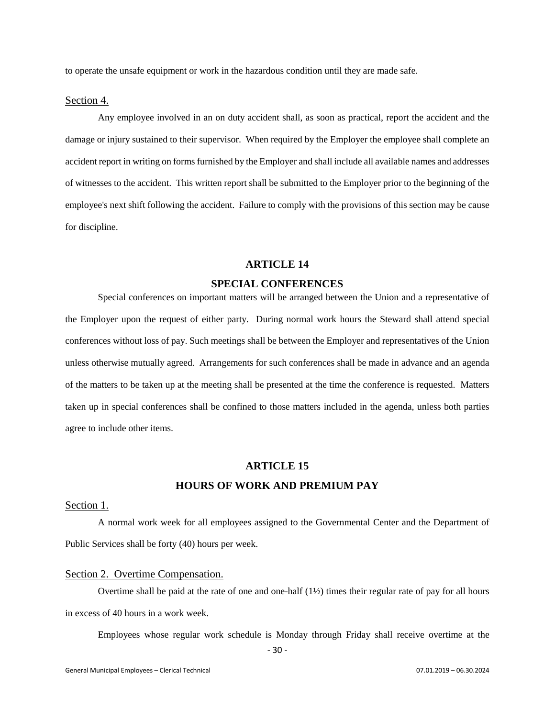to operate the unsafe equipment or work in the hazardous condition until they are made safe.

#### <span id="page-29-0"></span>Section 4.

Any employee involved in an on duty accident shall, as soon as practical, report the accident and the damage or injury sustained to their supervisor. When required by the Employer the employee shall complete an accident report in writing on forms furnished by the Employer and shall include all available names and addresses of witnesses to the accident. This written report shall be submitted to the Employer prior to the beginning of the employee's next shift following the accident. Failure to comply with the provisions of this section may be cause for discipline.

#### **ARTICLE 14**

#### **SPECIAL CONFERENCES**

<span id="page-29-2"></span><span id="page-29-1"></span>Special conferences on important matters will be arranged between the Union and a representative of the Employer upon the request of either party. During normal work hours the Steward shall attend special conferences without loss of pay. Such meetings shall be between the Employer and representatives of the Union unless otherwise mutually agreed. Arrangements for such conferences shall be made in advance and an agenda of the matters to be taken up at the meeting shall be presented at the time the conference is requested. Matters taken up in special conferences shall be confined to those matters included in the agenda, unless both parties agree to include other items.

## **ARTICLE 15**

### **HOURS OF WORK AND PREMIUM PAY**

#### <span id="page-29-5"></span><span id="page-29-4"></span><span id="page-29-3"></span>Section 1.

A normal work week for all employees assigned to the Governmental Center and the Department of Public Services shall be forty (40) hours per week.

#### <span id="page-29-6"></span>Section 2. Overtime Compensation.

Overtime shall be paid at the rate of one and one-half (1½) times their regular rate of pay for all hours in excess of 40 hours in a work week.

Employees whose regular work schedule is Monday through Friday shall receive overtime at the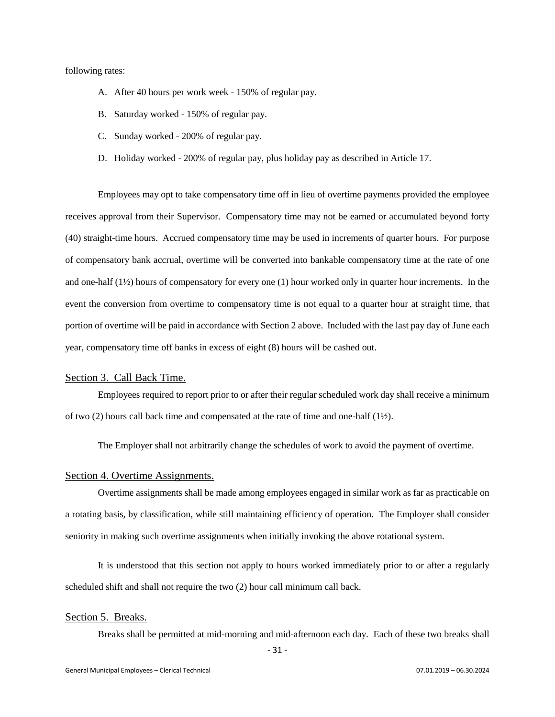#### following rates:

- A. After 40 hours per work week 150% of regular pay.
- B. Saturday worked 150% of regular pay.
- C. Sunday worked 200% of regular pay.
- D. Holiday worked 200% of regular pay, plus holiday pay as described in Article 17.

Employees may opt to take compensatory time off in lieu of overtime payments provided the employee receives approval from their Supervisor. Compensatory time may not be earned or accumulated beyond forty (40) straight-time hours. Accrued compensatory time may be used in increments of quarter hours.For purpose of compensatory bank accrual, overtime will be converted into bankable compensatory time at the rate of one and one-half (1½) hours of compensatory for every one (1) hour worked only in quarter hour increments. In the event the conversion from overtime to compensatory time is not equal to a quarter hour at straight time, that portion of overtime will be paid in accordance with Section 2 above. Included with the last pay day of June each year, compensatory time off banks in excess of eight (8) hours will be cashed out.

#### <span id="page-30-0"></span>Section 3. Call Back Time.

Employees required to report prior to or after their regular scheduled work day shall receive a minimum of two (2) hours call back time and compensated at the rate of time and one-half (1½).

The Employer shall not arbitrarily change the schedules of work to avoid the payment of overtime.

#### <span id="page-30-1"></span>Section 4. Overtime Assignments.

Overtime assignments shall be made among employees engaged in similar work as far as practicable on a rotating basis, by classification, while still maintaining efficiency of operation. The Employer shall consider seniority in making such overtime assignments when initially invoking the above rotational system.

It is understood that this section not apply to hours worked immediately prior to or after a regularly scheduled shift and shall not require the two (2) hour call minimum call back.

#### <span id="page-30-2"></span>Section 5. Breaks.

Breaks shall be permitted at mid-morning and mid-afternoon each day. Each of these two breaks shall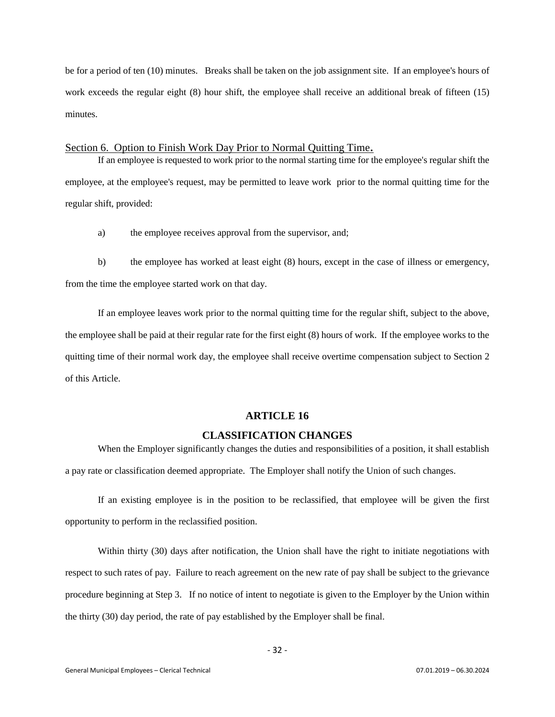be for a period of ten (10) minutes. Breaks shall be taken on the job assignment site. If an employee's hours of work exceeds the regular eight (8) hour shift, the employee shall receive an additional break of fifteen (15) minutes.

## <span id="page-31-0"></span>Section 6. Option to Finish Work Day Prior to Normal Quitting Time.

If an employee is requested to work prior to the normal starting time for the employee's regular shift the employee, at the employee's request, may be permitted to leave work prior to the normal quitting time for the regular shift, provided:

a) the employee receives approval from the supervisor, and;

b) the employee has worked at least eight (8) hours, except in the case of illness or emergency, from the time the employee started work on that day.

If an employee leaves work prior to the normal quitting time for the regular shift, subject to the above, the employee shall be paid at their regular rate for the first eight (8) hours of work. If the employee works to the quitting time of their normal work day, the employee shall receive overtime compensation subject to Section 2 of this Article.

## **ARTICLE 16**

## **CLASSIFICATION CHANGES**

<span id="page-31-2"></span><span id="page-31-1"></span>When the Employer significantly changes the duties and responsibilities of a position, it shall establish a pay rate or classification deemed appropriate. The Employer shall notify the Union of such changes.

If an existing employee is in the position to be reclassified, that employee will be given the first opportunity to perform in the reclassified position.

Within thirty (30) days after notification, the Union shall have the right to initiate negotiations with respect to such rates of pay. Failure to reach agreement on the new rate of pay shall be subject to the grievance procedure beginning at Step 3. If no notice of intent to negotiate is given to the Employer by the Union within the thirty (30) day period, the rate of pay established by the Employer shall be final.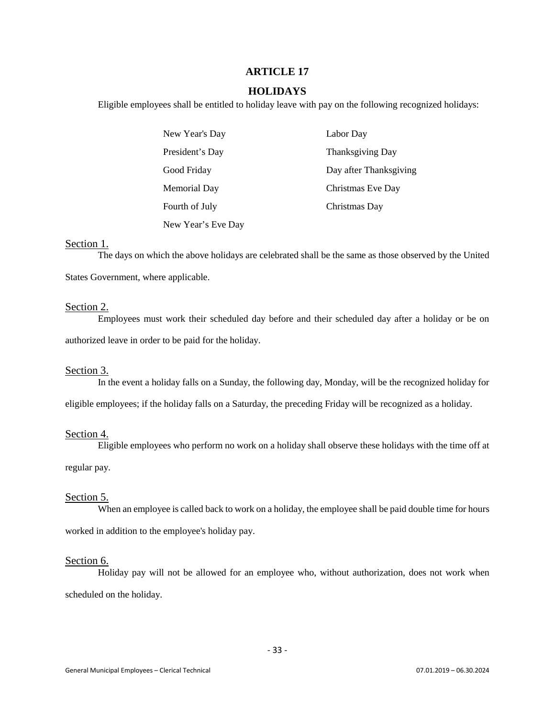## **HOLIDAYS**

<span id="page-32-1"></span><span id="page-32-0"></span>Eligible employees shall be entitled to holiday leave with pay on the following recognized holidays:

| New Year's Day     | Labor Day               |
|--------------------|-------------------------|
| President's Day    | <b>Thanksgiving Day</b> |
| Good Friday        | Day after Thanksgiving  |
| Memorial Day       | Christmas Eve Day       |
| Fourth of July     | Christmas Day           |
| New Year's Eve Day |                         |

#### <span id="page-32-2"></span>Section 1.

The days on which the above holidays are celebrated shall be the same as those observed by the United States Government, where applicable.

#### <span id="page-32-3"></span>Section 2.

Employees must work their scheduled day before and their scheduled day after a holiday or be on authorized leave in order to be paid for the holiday.

#### <span id="page-32-4"></span>Section 3.

In the event a holiday falls on a Sunday, the following day, Monday, will be the recognized holiday for eligible employees; if the holiday falls on a Saturday, the preceding Friday will be recognized as a holiday.

#### <span id="page-32-5"></span>Section 4.

Eligible employees who perform no work on a holiday shall observe these holidays with the time off at regular pay.

## <span id="page-32-6"></span>Section 5.

When an employee is called back to work on a holiday, the employee shall be paid double time for hours worked in addition to the employee's holiday pay.

#### <span id="page-32-7"></span>Section 6.

Holiday pay will not be allowed for an employee who, without authorization, does not work when scheduled on the holiday.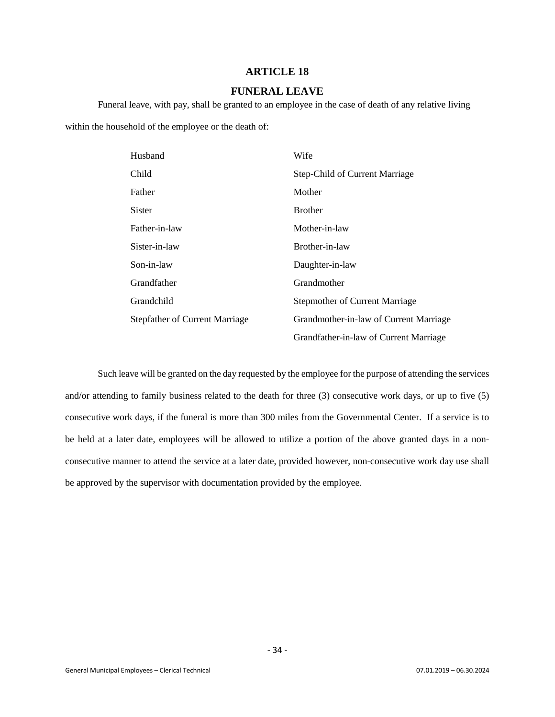## **FUNERAL LEAVE**

<span id="page-33-1"></span><span id="page-33-0"></span>Funeral leave, with pay, shall be granted to an employee in the case of death of any relative living within the household of the employee or the death of:

| Husband                               | Wife                                   |
|---------------------------------------|----------------------------------------|
| Child                                 | Step-Child of Current Marriage         |
| Father                                | Mother                                 |
| <b>Sister</b>                         | <b>Brother</b>                         |
| Father-in-law                         | Mother-in-law                          |
| Sister-in-law                         | Brother-in-law                         |
| Son-in-law                            | Daughter-in-law                        |
| Grandfather                           | Grandmother                            |
| Grandchild                            | <b>Stepmother of Current Marriage</b>  |
| <b>Stepfather of Current Marriage</b> | Grandmother-in-law of Current Marriage |
|                                       | Grandfather-in-law of Current Marriage |

Such leave will be granted on the day requested by the employee for the purpose of attending the services and/or attending to family business related to the death for three (3) consecutive work days, or up to five (5) consecutive work days, if the funeral is more than 300 miles from the Governmental Center. If a service is to be held at a later date, employees will be allowed to utilize a portion of the above granted days in a nonconsecutive manner to attend the service at a later date, provided however, non-consecutive work day use shall be approved by the supervisor with documentation provided by the employee.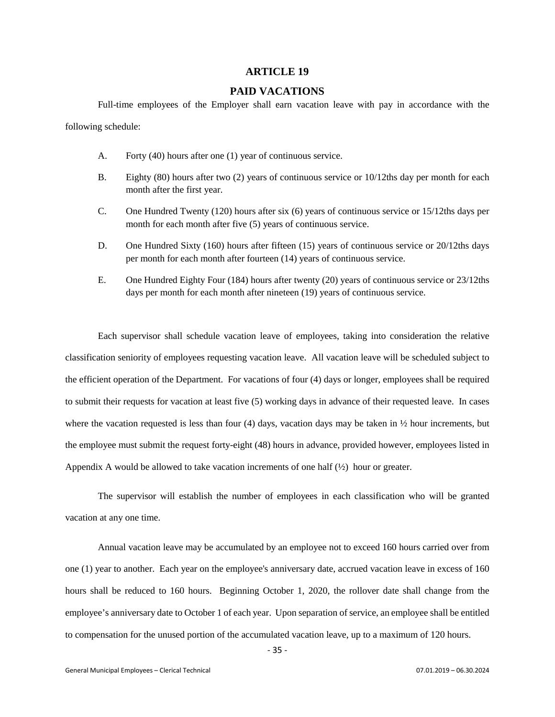## **PAID VACATIONS**

<span id="page-34-1"></span><span id="page-34-0"></span>Full-time employees of the Employer shall earn vacation leave with pay in accordance with the following schedule:

- A. Forty (40) hours after one (1) year of continuous service.
- B. Eighty (80) hours after two (2) years of continuous service or 10/12ths day per month for each month after the first year.
- C. One Hundred Twenty (120) hours after six (6) years of continuous service or 15/12ths days per month for each month after five (5) years of continuous service.
- D. One Hundred Sixty (160) hours after fifteen (15) years of continuous service or 20/12ths days per month for each month after fourteen (14) years of continuous service.
- E. One Hundred Eighty Four (184) hours after twenty (20) years of continuous service or 23/12ths days per month for each month after nineteen (19) years of continuous service.

Each supervisor shall schedule vacation leave of employees, taking into consideration the relative classification seniority of employees requesting vacation leave. All vacation leave will be scheduled subject to the efficient operation of the Department. For vacations of four (4) days or longer, employees shall be required to submit their requests for vacation at least five (5) working days in advance of their requested leave. In cases where the vacation requested is less than four (4) days, vacation days may be taken in  $\frac{1}{2}$  hour increments, but the employee must submit the request forty-eight (48) hours in advance, provided however, employees listed in Appendix A would be allowed to take vacation increments of one half  $(½)$  hour or greater.

The supervisor will establish the number of employees in each classification who will be granted vacation at any one time.

Annual vacation leave may be accumulated by an employee not to exceed 160 hours carried over from one (1) year to another. Each year on the employee's anniversary date, accrued vacation leave in excess of 160 hours shall be reduced to 160 hours. Beginning October 1, 2020, the rollover date shall change from the employee's anniversary date to October 1 of each year. Upon separation of service, an employee shall be entitled to compensation for the unused portion of the accumulated vacation leave, up to a maximum of 120 hours.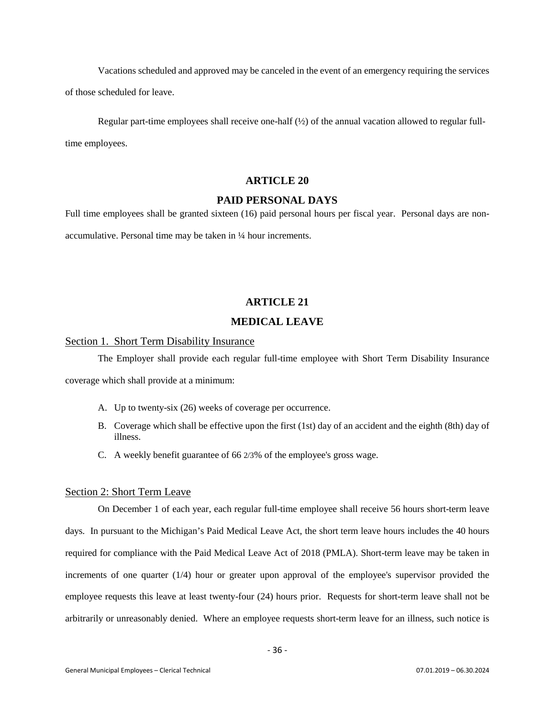Vacations scheduled and approved may be canceled in the event of an emergency requiring the services of those scheduled for leave.

Regular part-time employees shall receive one-half  $(\frac{1}{2})$  of the annual vacation allowed to regular fulltime employees.

## **ARTICLE 20**

## **PAID PERSONAL DAYS**

<span id="page-35-1"></span><span id="page-35-0"></span>Full time employees shall be granted sixteen (16) paid personal hours per fiscal year. Personal days are nonaccumulative. Personal time may be taken in ¼ hour increments.

#### **ARTICLE 21**

### **MEDICAL LEAVE**

#### <span id="page-35-4"></span><span id="page-35-3"></span><span id="page-35-2"></span>Section 1. Short Term Disability Insurance

The Employer shall provide each regular full-time employee with Short Term Disability Insurance coverage which shall provide at a minimum:

- A. Up to twenty-six (26) weeks of coverage per occurrence.
- B. Coverage which shall be effective upon the first (1st) day of an accident and the eighth (8th) day of illness.
- C. A weekly benefit guarantee of 66 2/3% of the employee's gross wage.

## <span id="page-35-5"></span>Section 2: Short Term Leave

On December 1 of each year, each regular full-time employee shall receive 56 hours short-term leave days. In pursuant to the Michigan's Paid Medical Leave Act, the short term leave hours includes the 40 hours required for compliance with the Paid Medical Leave Act of 2018 (PMLA). Short-term leave may be taken in increments of one quarter (1/4) hour or greater upon approval of the employee's supervisor provided the employee requests this leave at least twenty-four (24) hours prior. Requests for short-term leave shall not be arbitrarily or unreasonably denied. Where an employee requests short-term leave for an illness, such notice is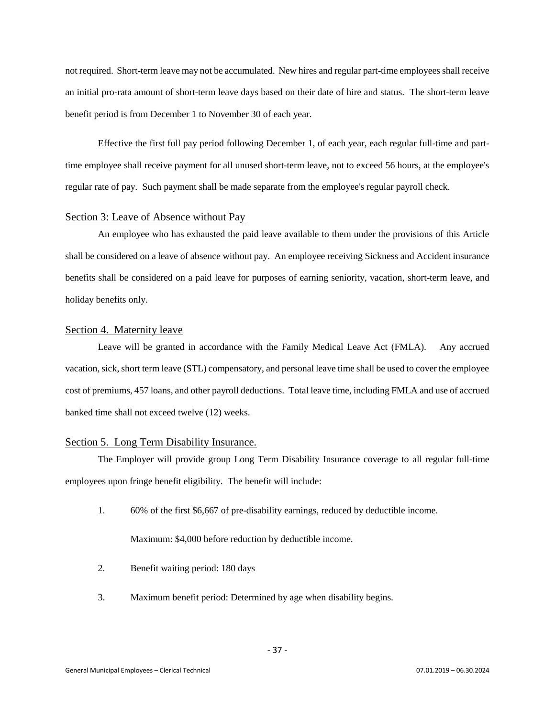not required. Short-term leave may not be accumulated. New hires and regular part-time employees shall receive an initial pro-rata amount of short-term leave days based on their date of hire and status. The short-term leave benefit period is from December 1 to November 30 of each year.

Effective the first full pay period following December 1, of each year, each regular full-time and parttime employee shall receive payment for all unused short-term leave, not to exceed 56 hours, at the employee's regular rate of pay. Such payment shall be made separate from the employee's regular payroll check.

## <span id="page-36-0"></span>Section 3: Leave of Absence without Pay

An employee who has exhausted the paid leave available to them under the provisions of this Article shall be considered on a leave of absence without pay. An employee receiving Sickness and Accident insurance benefits shall be considered on a paid leave for purposes of earning seniority, vacation, short-term leave, and holiday benefits only.

## <span id="page-36-1"></span>Section 4. Maternity leave

Leave will be granted in accordance with the Family Medical Leave Act (FMLA). Any accrued vacation, sick, short term leave (STL) compensatory, and personal leave time shall be used to cover the employee cost of premiums, 457 loans, and other payroll deductions. Total leave time, including FMLA and use of accrued banked time shall not exceed twelve (12) weeks.

## <span id="page-36-2"></span>Section 5. Long Term Disability Insurance.

The Employer will provide group Long Term Disability Insurance coverage to all regular full-time employees upon fringe benefit eligibility. The benefit will include:

1. 60% of the first \$6,667 of pre-disability earnings, reduced by deductible income.

Maximum: \$4,000 before reduction by deductible income.

- 2. Benefit waiting period: 180 days
- 3. Maximum benefit period: Determined by age when disability begins.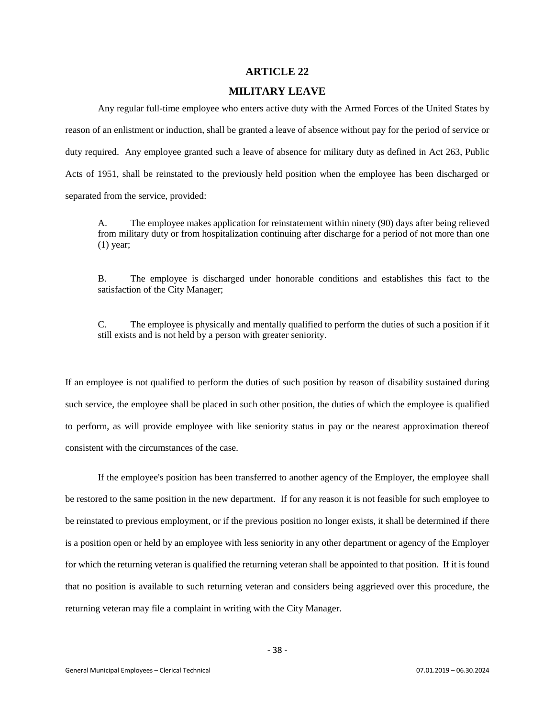### **MILITARY LEAVE**

<span id="page-37-1"></span><span id="page-37-0"></span>Any regular full-time employee who enters active duty with the Armed Forces of the United States by reason of an enlistment or induction, shall be granted a leave of absence without pay for the period of service or duty required. Any employee granted such a leave of absence for military duty as defined in Act 263, Public Acts of 1951, shall be reinstated to the previously held position when the employee has been discharged or separated from the service, provided:

A. The employee makes application for reinstatement within ninety (90) days after being relieved from military duty or from hospitalization continuing after discharge for a period of not more than one (1) year;

B. The employee is discharged under honorable conditions and establishes this fact to the satisfaction of the City Manager;

C. The employee is physically and mentally qualified to perform the duties of such a position if it still exists and is not held by a person with greater seniority.

If an employee is not qualified to perform the duties of such position by reason of disability sustained during such service, the employee shall be placed in such other position, the duties of which the employee is qualified to perform, as will provide employee with like seniority status in pay or the nearest approximation thereof consistent with the circumstances of the case.

If the employee's position has been transferred to another agency of the Employer, the employee shall be restored to the same position in the new department. If for any reason it is not feasible for such employee to be reinstated to previous employment, or if the previous position no longer exists, it shall be determined if there is a position open or held by an employee with less seniority in any other department or agency of the Employer for which the returning veteran is qualified the returning veteran shall be appointed to that position. If it is found that no position is available to such returning veteran and considers being aggrieved over this procedure, the returning veteran may file a complaint in writing with the City Manager.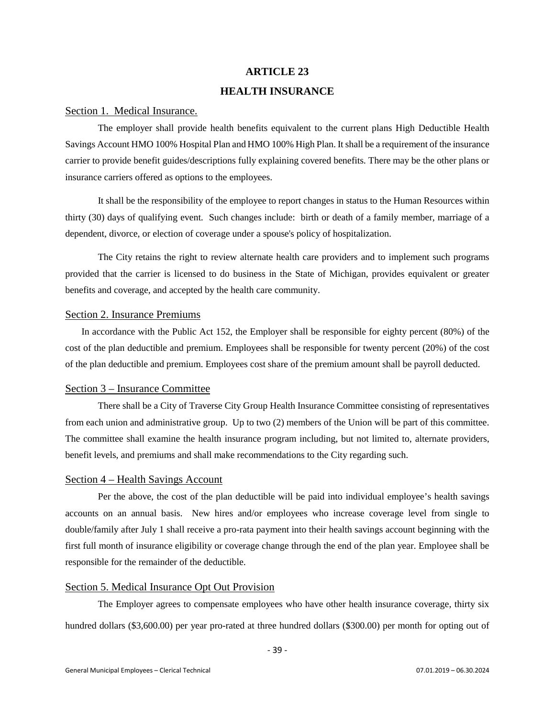# **ARTICLE 23 HEALTH INSURANCE**

#### <span id="page-38-2"></span><span id="page-38-1"></span><span id="page-38-0"></span>Section 1. Medical Insurance.

The employer shall provide health benefits equivalent to the current plans High Deductible Health Savings Account HMO 100% Hospital Plan and HMO 100% High Plan. It shall be a requirement of the insurance carrier to provide benefit guides/descriptions fully explaining covered benefits. There may be the other plans or insurance carriers offered as options to the employees.

It shall be the responsibility of the employee to report changes in status to the Human Resources within thirty (30) days of qualifying event. Such changes include: birth or death of a family member, marriage of a dependent, divorce, or election of coverage under a spouse's policy of hospitalization.

The City retains the right to review alternate health care providers and to implement such programs provided that the carrier is licensed to do business in the State of Michigan, provides equivalent or greater benefits and coverage, and accepted by the health care community.

## <span id="page-38-3"></span>Section 2. Insurance Premiums

In accordance with the Public Act 152, the Employer shall be responsible for eighty percent (80%) of the cost of the plan deductible and premium. Employees shall be responsible for twenty percent (20%) of the cost of the plan deductible and premium. Employees cost share of the premium amount shall be payroll deducted.

## <span id="page-38-4"></span>Section 3 – Insurance Committee

There shall be a City of Traverse City Group Health Insurance Committee consisting of representatives from each union and administrative group. Up to two (2) members of the Union will be part of this committee. The committee shall examine the health insurance program including, but not limited to, alternate providers, benefit levels, and premiums and shall make recommendations to the City regarding such.

#### <span id="page-38-5"></span>Section 4 – Health Savings Account

Per the above, the cost of the plan deductible will be paid into individual employee's health savings accounts on an annual basis. New hires and/or employees who increase coverage level from single to double/family after July 1 shall receive a pro-rata payment into their health savings account beginning with the first full month of insurance eligibility or coverage change through the end of the plan year. Employee shall be responsible for the remainder of the deductible.

## <span id="page-38-6"></span>Section 5. Medical Insurance Opt Out Provision

The Employer agrees to compensate employees who have other health insurance coverage, thirty six hundred dollars (\$3,600.00) per year pro-rated at three hundred dollars (\$300.00) per month for opting out of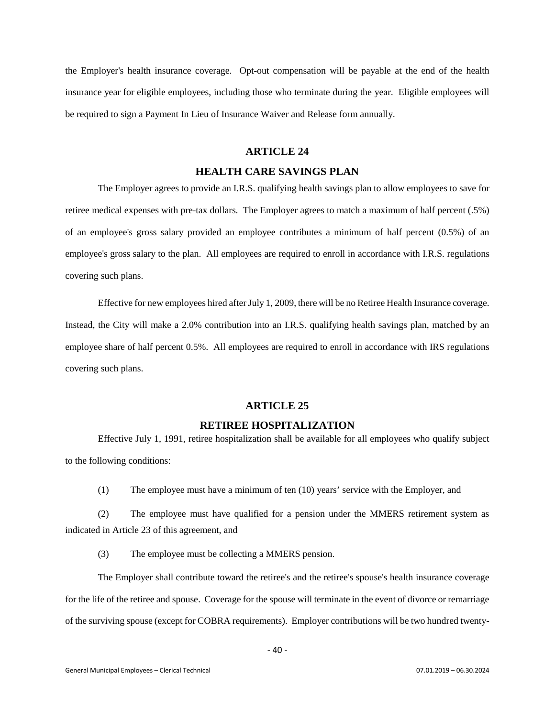the Employer's health insurance coverage. Opt-out compensation will be payable at the end of the health insurance year for eligible employees, including those who terminate during the year. Eligible employees will be required to sign a Payment In Lieu of Insurance Waiver and Release form annually.

## **ARTICLE 24**

## **HEALTH CARE SAVINGS PLAN**

<span id="page-39-1"></span><span id="page-39-0"></span>The Employer agrees to provide an I.R.S. qualifying health savings plan to allow employees to save for retiree medical expenses with pre-tax dollars. The Employer agrees to match a maximum of half percent (.5%) of an employee's gross salary provided an employee contributes a minimum of half percent (0.5%) of an employee's gross salary to the plan. All employees are required to enroll in accordance with I.R.S. regulations covering such plans.

Effective for new employees hired after July 1, 2009, there will be no Retiree Health Insurance coverage. Instead, the City will make a 2.0% contribution into an I.R.S. qualifying health savings plan, matched by an employee share of half percent 0.5%. All employees are required to enroll in accordance with IRS regulations covering such plans.

## **ARTICLE 25**

## **RETIREE HOSPITALIZATION**

<span id="page-39-3"></span><span id="page-39-2"></span>Effective July 1, 1991, retiree hospitalization shall be available for all employees who qualify subject to the following conditions:

(1) The employee must have a minimum of ten (10) years' service with the Employer, and

(2) The employee must have qualified for a pension under the MMERS retirement system as indicated in Article 23 of this agreement, and

(3) The employee must be collecting a MMERS pension.

The Employer shall contribute toward the retiree's and the retiree's spouse's health insurance coverage for the life of the retiree and spouse. Coverage for the spouse will terminate in the event of divorce or remarriage of the surviving spouse (except for COBRA requirements). Employer contributions will be two hundred twenty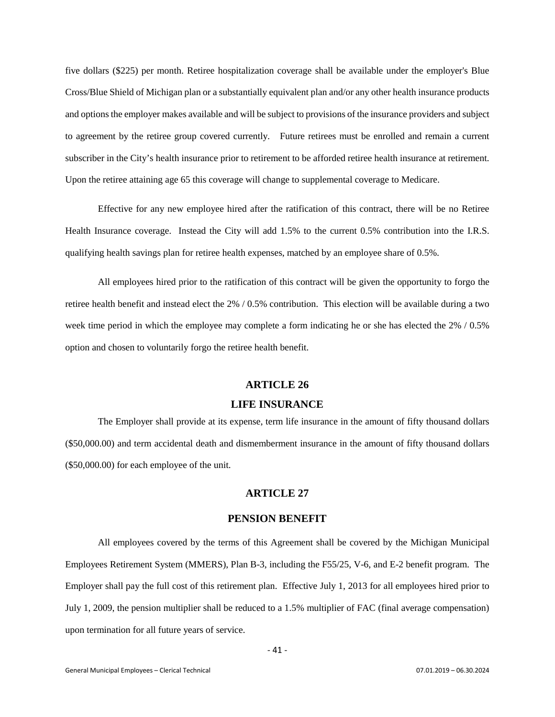five dollars (\$225) per month. Retiree hospitalization coverage shall be available under the employer's Blue Cross/Blue Shield of Michigan plan or a substantially equivalent plan and/or any other health insurance products and options the employer makes available and will be subject to provisions of the insurance providers and subject to agreement by the retiree group covered currently. Future retirees must be enrolled and remain a current subscriber in the City's health insurance prior to retirement to be afforded retiree health insurance at retirement. Upon the retiree attaining age 65 this coverage will change to supplemental coverage to Medicare.

Effective for any new employee hired after the ratification of this contract, there will be no Retiree Health Insurance coverage. Instead the City will add 1.5% to the current 0.5% contribution into the I.R.S. qualifying health savings plan for retiree health expenses, matched by an employee share of 0.5%.

All employees hired prior to the ratification of this contract will be given the opportunity to forgo the retiree health benefit and instead elect the 2% / 0.5% contribution. This election will be available during a two week time period in which the employee may complete a form indicating he or she has elected the 2% / 0.5% option and chosen to voluntarily forgo the retiree health benefit.

#### **ARTICLE 26**

#### **LIFE INSURANCE**

<span id="page-40-1"></span><span id="page-40-0"></span>The Employer shall provide at its expense, term life insurance in the amount of fifty thousand dollars (\$50,000.00) and term accidental death and dismemberment insurance in the amount of fifty thousand dollars (\$50,000.00) for each employee of the unit.

## **ARTICLE 27**

### **PENSION BENEFIT**

<span id="page-40-2"></span>All employees covered by the terms of this Agreement shall be covered by the Michigan Municipal Employees Retirement System (MMERS), Plan B-3, including the F55/25, V-6, and E-2 benefit program. The Employer shall pay the full cost of this retirement plan. Effective July 1, 2013 for all employees hired prior to July 1, 2009, the pension multiplier shall be reduced to a 1.5% multiplier of FAC (final average compensation) upon termination for all future years of service.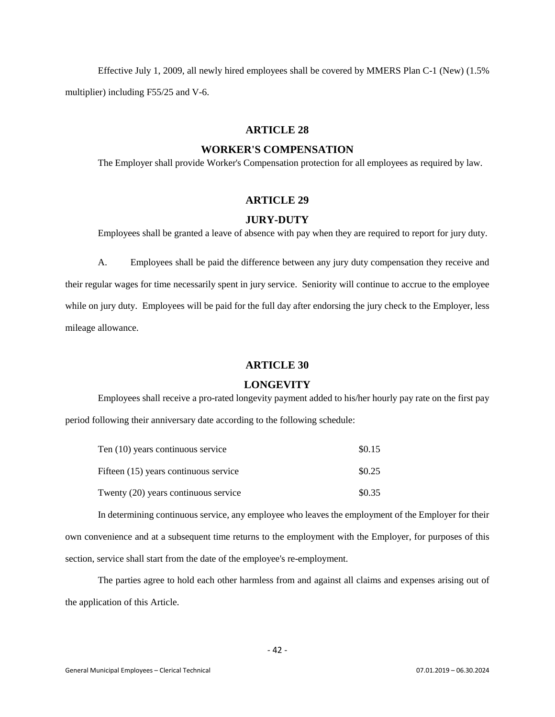<span id="page-41-0"></span>Effective July 1, 2009, all newly hired employees shall be covered by MMERS Plan C-1 (New) (1.5% multiplier) including F55/25 and V-6.

## **ARTICLE 28**

## **WORKER'S COMPENSATION**

<span id="page-41-2"></span><span id="page-41-1"></span>The Employer shall provide Worker's Compensation protection for all employees as required by law.

## **ARTICLE 29**

## **JURY-DUTY**

<span id="page-41-3"></span>Employees shall be granted a leave of absence with pay when they are required to report for jury duty.

A. Employees shall be paid the difference between any jury duty compensation they receive and their regular wages for time necessarily spent in jury service. Seniority will continue to accrue to the employee while on jury duty. Employees will be paid for the full day after endorsing the jury check to the Employer, less mileage allowance.

## **ARTICLE 30**

### **LONGEVITY**

<span id="page-41-5"></span><span id="page-41-4"></span>Employees shall receive a pro-rated longevity payment added to his/her hourly pay rate on the first pay period following their anniversary date according to the following schedule:

| Ten (10) years continuous service     | \$0.15 |
|---------------------------------------|--------|
| Fifteen (15) years continuous service | \$0.25 |
| Twenty (20) years continuous service  | \$0.35 |

In determining continuous service, any employee who leaves the employment of the Employer for their own convenience and at a subsequent time returns to the employment with the Employer, for purposes of this section, service shall start from the date of the employee's re-employment.

The parties agree to hold each other harmless from and against all claims and expenses arising out of the application of this Article.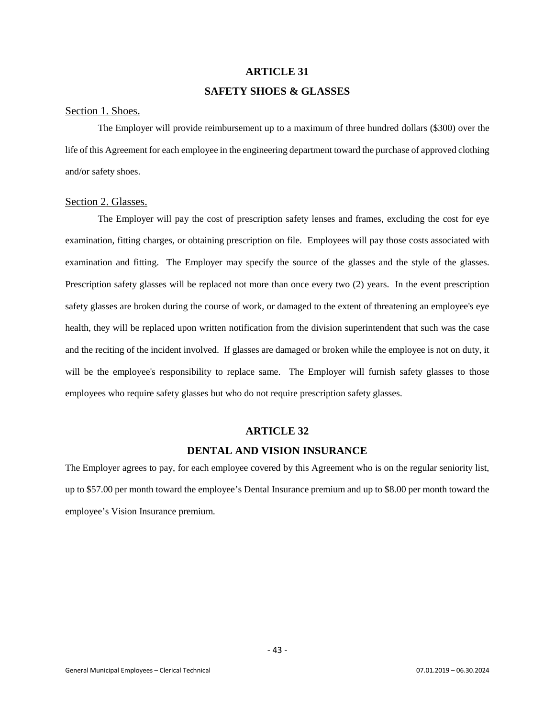# **ARTICLE 31 SAFETY SHOES & GLASSES**

## <span id="page-42-2"></span><span id="page-42-1"></span><span id="page-42-0"></span>Section 1. Shoes.

The Employer will provide reimbursement up to a maximum of three hundred dollars (\$300) over the life of this Agreement for each employee in the engineering department toward the purchase of approved clothing and/or safety shoes.

## <span id="page-42-3"></span>Section 2. Glasses.

The Employer will pay the cost of prescription safety lenses and frames, excluding the cost for eye examination, fitting charges, or obtaining prescription on file. Employees will pay those costs associated with examination and fitting. The Employer may specify the source of the glasses and the style of the glasses. Prescription safety glasses will be replaced not more than once every two (2) years. In the event prescription safety glasses are broken during the course of work, or damaged to the extent of threatening an employee's eye health, they will be replaced upon written notification from the division superintendent that such was the case and the reciting of the incident involved. If glasses are damaged or broken while the employee is not on duty, it will be the employee's responsibility to replace same. The Employer will furnish safety glasses to those employees who require safety glasses but who do not require prescription safety glasses.

## **ARTICLE 32**

## **DENTAL AND VISION INSURANCE**

<span id="page-42-5"></span><span id="page-42-4"></span>The Employer agrees to pay, for each employee covered by this Agreement who is on the regular seniority list, up to \$57.00 per month toward the employee's Dental Insurance premium and up to \$8.00 per month toward the employee's Vision Insurance premium.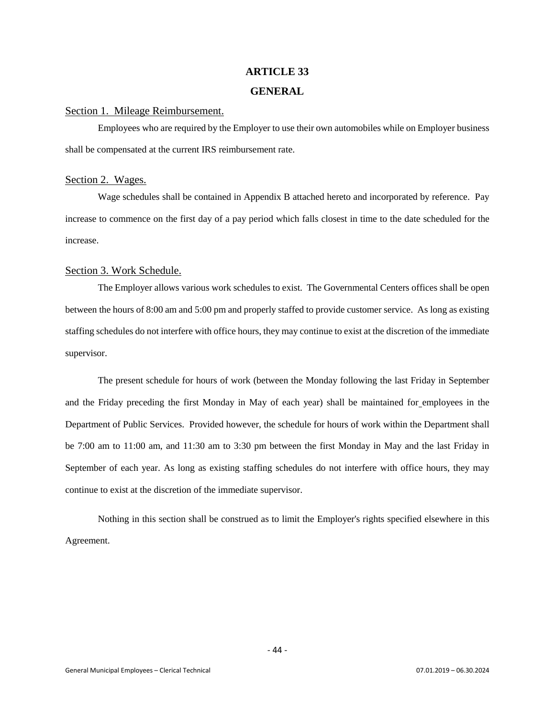# **ARTICLE 33 GENERAL**

## <span id="page-43-2"></span><span id="page-43-1"></span><span id="page-43-0"></span>Section 1. Mileage Reimbursement.

Employees who are required by the Employer to use their own automobiles while on Employer business shall be compensated at the current IRS reimbursement rate.

## <span id="page-43-3"></span>Section 2. Wages.

Wage schedules shall be contained in Appendix B attached hereto and incorporated by reference. Pay increase to commence on the first day of a pay period which falls closest in time to the date scheduled for the increase.

## <span id="page-43-4"></span>Section 3. Work Schedule.

 The Employer allows various work schedules to exist. The Governmental Centers offices shall be open between the hours of 8:00 am and 5:00 pm and properly staffed to provide customer service. As long as existing staffing schedules do not interfere with office hours, they may continue to exist at the discretion of the immediate supervisor.

The present schedule for hours of work (between the Monday following the last Friday in September and the Friday preceding the first Monday in May of each year) shall be maintained for employees in the Department of Public Services. Provided however, the schedule for hours of work within the Department shall be 7:00 am to 11:00 am, and 11:30 am to 3:30 pm between the first Monday in May and the last Friday in September of each year. As long as existing staffing schedules do not interfere with office hours, they may continue to exist at the discretion of the immediate supervisor.

Nothing in this section shall be construed as to limit the Employer's rights specified elsewhere in this Agreement.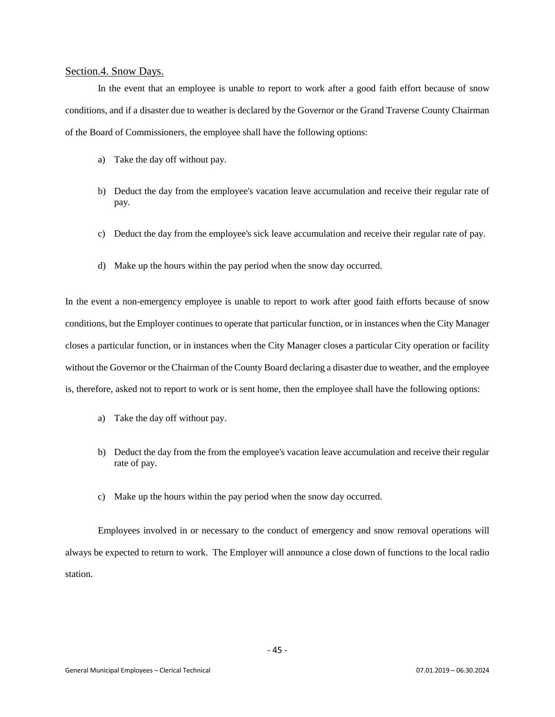#### <span id="page-44-0"></span>Section.4. Snow Days.

In the event that an employee is unable to report to work after a good faith effort because of snow conditions, and if a disaster due to weather is declared by the Governor or the Grand Traverse County Chairman of the Board of Commissioners, the employee shall have the following options:

- a) Take the day off without pay.
- b) Deduct the day from the employee's vacation leave accumulation and receive their regular rate of pay.
- c) Deduct the day from the employee's sick leave accumulation and receive their regular rate of pay.
- d) Make up the hours within the pay period when the snow day occurred.

In the event a non-emergency employee is unable to report to work after good faith efforts because of snow conditions, but the Employer continues to operate that particular function, or in instances when the City Manager closes a particular function, or in instances when the City Manager closes a particular City operation or facility without the Governor or the Chairman of the County Board declaring a disaster due to weather, and the employee is, therefore, asked not to report to work or is sent home, then the employee shall have the following options:

- a) Take the day off without pay.
- b) Deduct the day from the from the employee's vacation leave accumulation and receive their regular rate of pay.
- c) Make up the hours within the pay period when the snow day occurred.

Employees involved in or necessary to the conduct of emergency and snow removal operations will always be expected to return to work. The Employer will announce a close down of functions to the local radio station.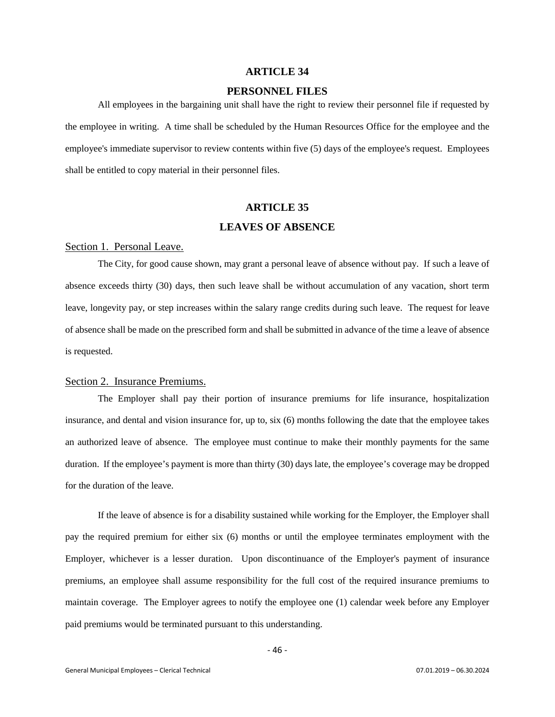### **PERSONNEL FILES**

<span id="page-45-1"></span><span id="page-45-0"></span>All employees in the bargaining unit shall have the right to review their personnel file if requested by the employee in writing. A time shall be scheduled by the Human Resources Office for the employee and the employee's immediate supervisor to review contents within five (5) days of the employee's request. Employees shall be entitled to copy material in their personnel files.

# **ARTICLE 35 LEAVES OF ABSENCE**

#### <span id="page-45-4"></span><span id="page-45-3"></span><span id="page-45-2"></span>Section 1. Personal Leave.

The City, for good cause shown, may grant a personal leave of absence without pay. If such a leave of absence exceeds thirty (30) days, then such leave shall be without accumulation of any vacation, short term leave, longevity pay, or step increases within the salary range credits during such leave. The request for leave of absence shall be made on the prescribed form and shall be submitted in advance of the time a leave of absence is requested.

#### <span id="page-45-5"></span>Section 2. Insurance Premiums.

The Employer shall pay their portion of insurance premiums for life insurance, hospitalization insurance, and dental and vision insurance for, up to, six (6) months following the date that the employee takes an authorized leave of absence. The employee must continue to make their monthly payments for the same duration. If the employee's payment is more than thirty (30) days late, the employee's coverage may be dropped for the duration of the leave.

If the leave of absence is for a disability sustained while working for the Employer, the Employer shall pay the required premium for either six (6) months or until the employee terminates employment with the Employer, whichever is a lesser duration. Upon discontinuance of the Employer's payment of insurance premiums, an employee shall assume responsibility for the full cost of the required insurance premiums to maintain coverage. The Employer agrees to notify the employee one (1) calendar week before any Employer paid premiums would be terminated pursuant to this understanding.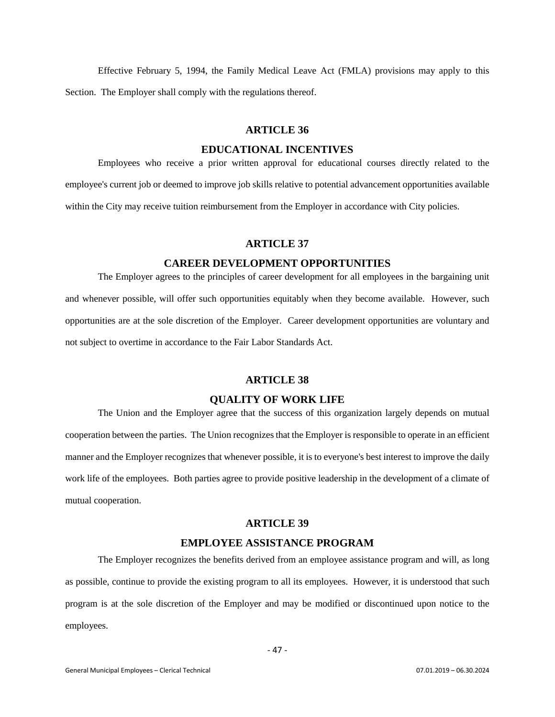Effective February 5, 1994, the Family Medical Leave Act (FMLA) provisions may apply to this Section. The Employer shall comply with the regulations thereof.

## **ARTICLE 36**

## **EDUCATIONAL INCENTIVES**

<span id="page-46-1"></span><span id="page-46-0"></span>Employees who receive a prior written approval for educational courses directly related to the employee's current job or deemed to improve job skills relative to potential advancement opportunities available within the City may receive tuition reimbursement from the Employer in accordance with City policies.

## **ARTICLE 37**

## **CAREER DEVELOPMENT OPPORTUNITIES**

<span id="page-46-3"></span><span id="page-46-2"></span>The Employer agrees to the principles of career development for all employees in the bargaining unit and whenever possible, will offer such opportunities equitably when they become available. However, such opportunities are at the sole discretion of the Employer. Career development opportunities are voluntary and not subject to overtime in accordance to the Fair Labor Standards Act.

## **ARTICLE 38**

#### **QUALITY OF WORK LIFE**

<span id="page-46-5"></span><span id="page-46-4"></span>The Union and the Employer agree that the success of this organization largely depends on mutual cooperation between the parties. The Union recognizes that the Employer is responsible to operate in an efficient manner and the Employer recognizes that whenever possible, it is to everyone's best interest to improve the daily work life of the employees. Both parties agree to provide positive leadership in the development of a climate of mutual cooperation.

#### **ARTICLE 39**

## **EMPLOYEE ASSISTANCE PROGRAM**

<span id="page-46-7"></span><span id="page-46-6"></span>The Employer recognizes the benefits derived from an employee assistance program and will, as long as possible, continue to provide the existing program to all its employees. However, it is understood that such program is at the sole discretion of the Employer and may be modified or discontinued upon notice to the employees.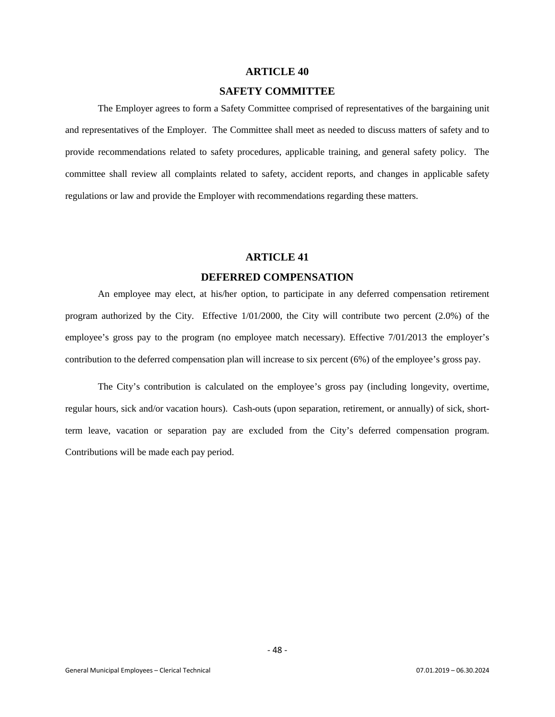## **SAFETY COMMITTEE**

<span id="page-47-1"></span><span id="page-47-0"></span>The Employer agrees to form a Safety Committee comprised of representatives of the bargaining unit and representatives of the Employer. The Committee shall meet as needed to discuss matters of safety and to provide recommendations related to safety procedures, applicable training, and general safety policy. The committee shall review all complaints related to safety, accident reports, and changes in applicable safety regulations or law and provide the Employer with recommendations regarding these matters.

# **ARTICLE 41 DEFERRED COMPENSATION**

<span id="page-47-3"></span><span id="page-47-2"></span>An employee may elect, at his/her option, to participate in any deferred compensation retirement program authorized by the City. Effective 1/01/2000, the City will contribute two percent (2.0%) of the employee's gross pay to the program (no employee match necessary). Effective 7/01/2013 the employer's contribution to the deferred compensation plan will increase to six percent (6%) of the employee's gross pay.

The City's contribution is calculated on the employee's gross pay (including longevity, overtime, regular hours, sick and/or vacation hours). Cash-outs (upon separation, retirement, or annually) of sick, shortterm leave, vacation or separation pay are excluded from the City's deferred compensation program. Contributions will be made each pay period.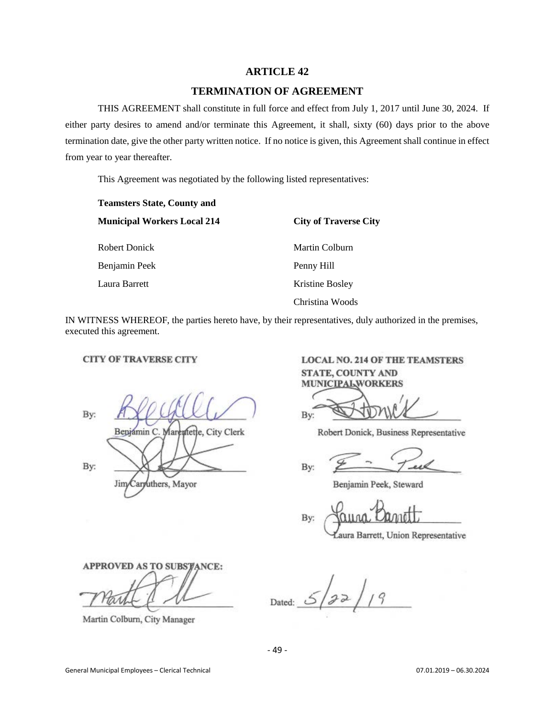## **TERMINATION OF AGREEMENT**

<span id="page-48-1"></span><span id="page-48-0"></span>THIS AGREEMENT shall constitute in full force and effect from July 1, 2017 until June 30, 2024. If either party desires to amend and/or terminate this Agreement, it shall, sixty (60) days prior to the above termination date, give the other party written notice. If no notice is given, this Agreement shall continue in effect from year to year thereafter.

This Agreement was negotiated by the following listed representatives:

| <b>Teamsters State, County and</b> |                              |
|------------------------------------|------------------------------|
| <b>Municipal Workers Local 214</b> | <b>City of Traverse City</b> |
| Robert Donick                      | <b>Martin Colburn</b>        |
| Benjamin Peek                      | Penny Hill                   |
| Laura Barrett                      | Kristine Bosley              |
|                                    | Christina Woods              |

IN WITNESS WHEREOF, the parties hereto have, by their representatives, duly authorized in the premises, executed this agreement.

## **CITY OF TRAVERSE CITY**

By: Benjamin C. Marentetle, City Clerk By: Caryuthers, Mayor Jim

**LOCAL NO. 214 OF THE TEAMSTERS STATE, COUNTY AND MUNICIPALWORKERS** 

Bv:

Robert Donick, Business Representative

By:

 $\overline{\mathcal{L}}$ 

Benjamin Peek, Steward

By: Laura Barrett, Union Representative

**APPROVED AS TO SUBSTANCE:** 

Martin Colburn, City Manager

Dated: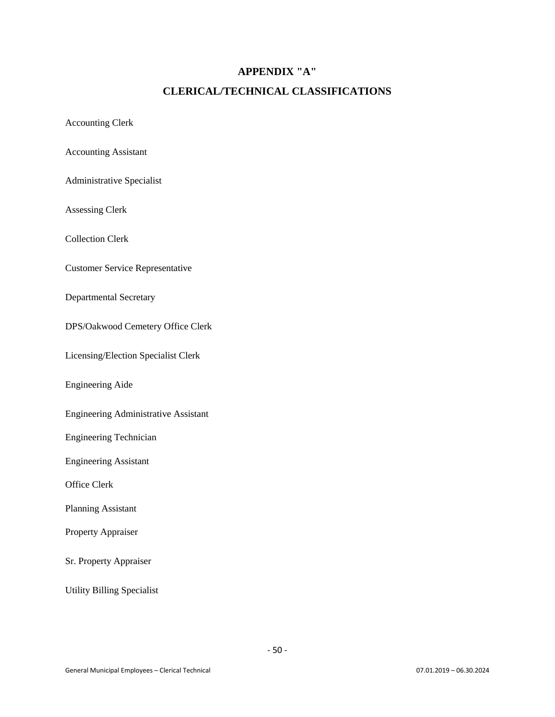## **APPENDIX "A"**

## **CLERICAL/TECHNICAL CLASSIFICATIONS**

<span id="page-49-1"></span><span id="page-49-0"></span>

| <b>Accounting Clerk</b>                     |
|---------------------------------------------|
| <b>Accounting Assistant</b>                 |
| Administrative Specialist                   |
| <b>Assessing Clerk</b>                      |
| <b>Collection Clerk</b>                     |
| <b>Customer Service Representative</b>      |
| <b>Departmental Secretary</b>               |
| DPS/Oakwood Cemetery Office Clerk           |
| Licensing/Election Specialist Clerk         |
| <b>Engineering Aide</b>                     |
| <b>Engineering Administrative Assistant</b> |
| <b>Engineering Technician</b>               |
| <b>Engineering Assistant</b>                |
| Office Clerk                                |
| <b>Planning Assistant</b>                   |
| <b>Property Appraiser</b>                   |
| Sr. Property Appraiser                      |
| <b>Utility Billing Specialist</b>           |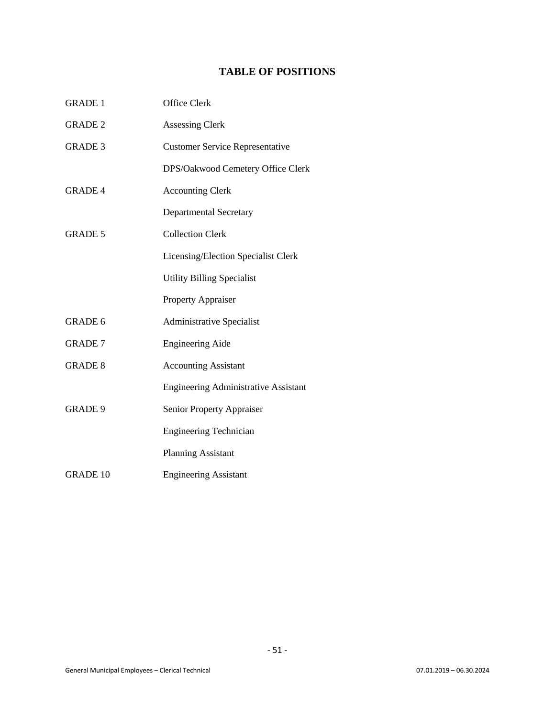## **TABLE OF POSITIONS**

<span id="page-50-0"></span>

| <b>GRADE 1</b> | Office Clerk                                |
|----------------|---------------------------------------------|
| <b>GRADE 2</b> | <b>Assessing Clerk</b>                      |
| <b>GRADE 3</b> | <b>Customer Service Representative</b>      |
|                | DPS/Oakwood Cemetery Office Clerk           |
| <b>GRADE 4</b> | <b>Accounting Clerk</b>                     |
|                | <b>Departmental Secretary</b>               |
| <b>GRADE 5</b> | <b>Collection Clerk</b>                     |
|                | Licensing/Election Specialist Clerk         |
|                | <b>Utility Billing Specialist</b>           |
|                | <b>Property Appraiser</b>                   |
| <b>GRADE 6</b> | Administrative Specialist                   |
| <b>GRADE 7</b> | <b>Engineering Aide</b>                     |
| <b>GRADE 8</b> | <b>Accounting Assistant</b>                 |
|                |                                             |
|                | <b>Engineering Administrative Assistant</b> |
| <b>GRADE 9</b> | Senior Property Appraiser                   |
|                | <b>Engineering Technician</b>               |
|                | <b>Planning Assistant</b>                   |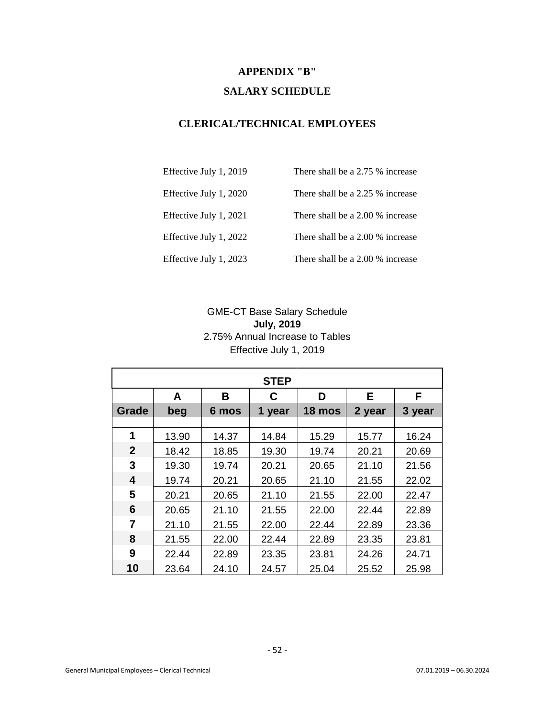# **APPENDIX "B"**

## **SALARY SCHEDULE**

## <span id="page-51-1"></span><span id="page-51-0"></span>**CLERICAL/TECHNICAL EMPLOYEES**

| Effective July 1, 2019 | There shall be a 2.75 % increase |
|------------------------|----------------------------------|
| Effective July 1, 2020 | There shall be a 2.25 % increase |
| Effective July 1, 2021 | There shall be a 2.00 % increase |
| Effective July 1, 2022 | There shall be a 2.00 % increase |
| Effective July 1, 2023 | There shall be a 2.00 % increase |

## GME-CT Base Salary Schedule **July, 2019** 2.75% Annual Increase to Tables Effective July 1, 2019

| <b>STEP</b>    |       |       |        |        |        |        |
|----------------|-------|-------|--------|--------|--------|--------|
|                | A     | В     | C      | D      | Е      | F      |
| Grade          | beg   | 6 mos | 1 year | 18 mos | 2 year | 3 year |
|                |       |       |        |        |        |        |
| 1              | 13.90 | 14.37 | 14.84  | 15.29  | 15.77  | 16.24  |
| $\mathbf{2}$   | 18.42 | 18.85 | 19.30  | 19.74  | 20.21  | 20.69  |
| 3              | 19.30 | 19.74 | 20.21  | 20.65  | 21.10  | 21.56  |
| 4              | 19.74 | 20.21 | 20.65  | 21.10  | 21.55  | 22.02  |
| 5              | 20.21 | 20.65 | 21.10  | 21.55  | 22.00  | 22.47  |
| 6              | 20.65 | 21.10 | 21.55  | 22.00  | 22.44  | 22.89  |
| $\overline{7}$ | 21.10 | 21.55 | 22.00  | 22.44  | 22.89  | 23.36  |
| 8              | 21.55 | 22.00 | 22.44  | 22.89  | 23.35  | 23.81  |
| 9              | 22.44 | 22.89 | 23.35  | 23.81  | 24.26  | 24.71  |
| 10             | 23.64 | 24.10 | 24.57  | 25.04  | 25.52  | 25.98  |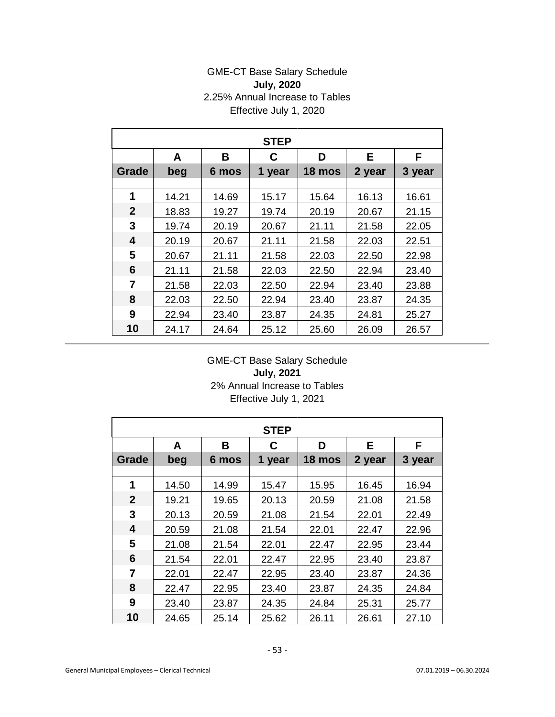## GME-CT Base Salary Schedule **July, 2020** 2.25% Annual Increase to Tables Effective July 1, 2020

| <b>STEP</b>    |       |       |        |        |        |        |
|----------------|-------|-------|--------|--------|--------|--------|
|                | A     | В     | C      | D      | Е      | F      |
| Grade          | beg   | 6 mos | 1 year | 18 mos | 2 year | 3 year |
|                |       |       |        |        |        |        |
| 1              | 14.21 | 14.69 | 15.17  | 15.64  | 16.13  | 16.61  |
| $\overline{2}$ | 18.83 | 19.27 | 19.74  | 20.19  | 20.67  | 21.15  |
| 3              | 19.74 | 20.19 | 20.67  | 21.11  | 21.58  | 22.05  |
| 4              | 20.19 | 20.67 | 21.11  | 21.58  | 22.03  | 22.51  |
| 5              | 20.67 | 21.11 | 21.58  | 22.03  | 22.50  | 22.98  |
| 6              | 21.11 | 21.58 | 22.03  | 22.50  | 22.94  | 23.40  |
| $\overline{7}$ | 21.58 | 22.03 | 22.50  | 22.94  | 23.40  | 23.88  |
| 8              | 22.03 | 22.50 | 22.94  | 23.40  | 23.87  | 24.35  |
| 9              | 22.94 | 23.40 | 23.87  | 24.35  | 24.81  | 25.27  |
| 10             | 24.17 | 24.64 | 25.12  | 25.60  | 26.09  | 26.57  |

## GME-CT Base Salary Schedule **July, 2021** 2% Annual Increase to Tables Effective July 1, 2021

| <b>STEP</b>  |       |       |        |        |        |        |
|--------------|-------|-------|--------|--------|--------|--------|
|              | A     | В     | C      | D      | E      | F      |
| Grade        | beg   | 6 mos | 1 year | 18 mos | 2 year | 3 year |
|              |       |       |        |        |        |        |
| 1            | 14.50 | 14.99 | 15.47  | 15.95  | 16.45  | 16.94  |
| $\mathbf{2}$ | 19.21 | 19.65 | 20.13  | 20.59  | 21.08  | 21.58  |
| 3            | 20.13 | 20.59 | 21.08  | 21.54  | 22.01  | 22.49  |
| 4            | 20.59 | 21.08 | 21.54  | 22.01  | 22.47  | 22.96  |
| 5            | 21.08 | 21.54 | 22.01  | 22.47  | 22.95  | 23.44  |
| 6            | 21.54 | 22.01 | 22.47  | 22.95  | 23.40  | 23.87  |
| 7            | 22.01 | 22.47 | 22.95  | 23.40  | 23.87  | 24.36  |
| 8            | 22.47 | 22.95 | 23.40  | 23.87  | 24.35  | 24.84  |
| 9            | 23.40 | 23.87 | 24.35  | 24.84  | 25.31  | 25.77  |
| 10           | 24.65 | 25.14 | 25.62  | 26.11  | 26.61  | 27.10  |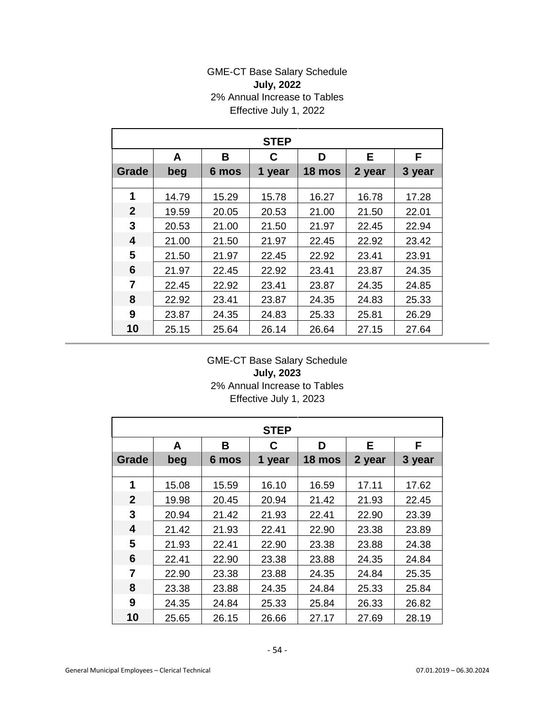## GME-CT Base Salary Schedule **July, 2022** 2% Annual Increase to Tables Effective July 1, 2022

| <b>STEP</b>    |       |       |        |        |        |        |
|----------------|-------|-------|--------|--------|--------|--------|
|                | A     | В     | C      | D      | Е      | F      |
| Grade          | beg   | 6 mos | 1 year | 18 mos | 2 year | 3 year |
|                |       |       |        |        |        |        |
| 1              | 14.79 | 15.29 | 15.78  | 16.27  | 16.78  | 17.28  |
| $\overline{2}$ | 19.59 | 20.05 | 20.53  | 21.00  | 21.50  | 22.01  |
| 3              | 20.53 | 21.00 | 21.50  | 21.97  | 22.45  | 22.94  |
| 4              | 21.00 | 21.50 | 21.97  | 22.45  | 22.92  | 23.42  |
| 5              | 21.50 | 21.97 | 22.45  | 22.92  | 23.41  | 23.91  |
| 6              | 21.97 | 22.45 | 22.92  | 23.41  | 23.87  | 24.35  |
| 7              | 22.45 | 22.92 | 23.41  | 23.87  | 24.35  | 24.85  |
| 8              | 22.92 | 23.41 | 23.87  | 24.35  | 24.83  | 25.33  |
| 9              | 23.87 | 24.35 | 24.83  | 25.33  | 25.81  | 26.29  |
| 10             | 25.15 | 25.64 | 26.14  | 26.64  | 27.15  | 27.64  |

## GME-CT Base Salary Schedule **July, 2023** 2% Annual Increase to Tables Effective July 1, 2023

| <b>STEP</b>    |       |       |        |        |        |        |
|----------------|-------|-------|--------|--------|--------|--------|
|                | A     | В     | C      | D      | Е      | F      |
| Grade          | beg   | 6 mos | 1 year | 18 mos | 2 year | 3 year |
|                |       |       |        |        |        |        |
| 1              | 15.08 | 15.59 | 16.10  | 16.59  | 17.11  | 17.62  |
| $\mathbf{2}$   | 19.98 | 20.45 | 20.94  | 21.42  | 21.93  | 22.45  |
| 3              | 20.94 | 21.42 | 21.93  | 22.41  | 22.90  | 23.39  |
| 4              | 21.42 | 21.93 | 22.41  | 22.90  | 23.38  | 23.89  |
| 5              | 21.93 | 22.41 | 22.90  | 23.38  | 23.88  | 24.38  |
| 6              | 22.41 | 22.90 | 23.38  | 23.88  | 24.35  | 24.84  |
| $\overline{7}$ | 22.90 | 23.38 | 23.88  | 24.35  | 24.84  | 25.35  |
| 8              | 23.38 | 23.88 | 24.35  | 24.84  | 25.33  | 25.84  |
| 9              | 24.35 | 24.84 | 25.33  | 25.84  | 26.33  | 26.82  |
| 10             | 25.65 | 26.15 | 26.66  | 27.17  | 27.69  | 28.19  |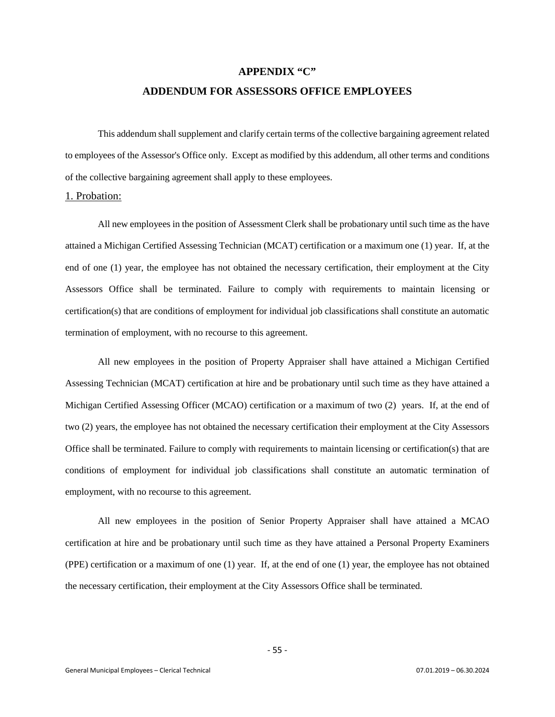#### **APPENDIX "C"**

#### **ADDENDUM FOR ASSESSORS OFFICE EMPLOYEES**

<span id="page-54-1"></span><span id="page-54-0"></span>This addendum shall supplement and clarify certain terms of the collective bargaining agreement related to employees of the Assessor's Office only. Except as modified by this addendum, all other terms and conditions of the collective bargaining agreement shall apply to these employees.

#### <span id="page-54-2"></span>1. Probation:

All new employees in the position of Assessment Clerk shall be probationary until such time as the have attained a Michigan Certified Assessing Technician (MCAT) certification or a maximum one (1) year. If, at the end of one (1) year, the employee has not obtained the necessary certification, their employment at the City Assessors Office shall be terminated. Failure to comply with requirements to maintain licensing or certification(s) that are conditions of employment for individual job classifications shall constitute an automatic termination of employment, with no recourse to this agreement.

All new employees in the position of Property Appraiser shall have attained a Michigan Certified Assessing Technician (MCAT) certification at hire and be probationary until such time as they have attained a Michigan Certified Assessing Officer (MCAO) certification or a maximum of two (2) years. If, at the end of two (2) years, the employee has not obtained the necessary certification their employment at the City Assessors Office shall be terminated. Failure to comply with requirements to maintain licensing or certification(s) that are conditions of employment for individual job classifications shall constitute an automatic termination of employment, with no recourse to this agreement.

All new employees in the position of Senior Property Appraiser shall have attained a MCAO certification at hire and be probationary until such time as they have attained a Personal Property Examiners (PPE) certification or a maximum of one (1) year. If, at the end of one (1) year, the employee has not obtained the necessary certification, their employment at the City Assessors Office shall be terminated.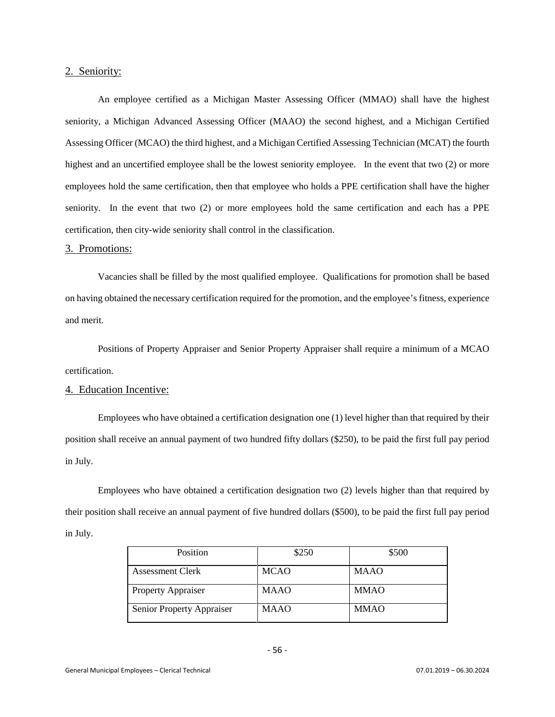### <span id="page-55-0"></span>2. Seniority:

An employee certified as a Michigan Master Assessing Officer (MMAO) shall have the highest seniority, a Michigan Advanced Assessing Officer (MAAO) the second highest, and a Michigan Certified Assessing Officer (MCAO) the third highest, and a Michigan Certified Assessing Technician (MCAT) the fourth highest and an uncertified employee shall be the lowest seniority employee. In the event that two (2) or more employees hold the same certification, then that employee who holds a PPE certification shall have the higher seniority. In the event that two (2) or more employees hold the same certification and each has a PPE certification, then city-wide seniority shall control in the classification.

## <span id="page-55-1"></span>3. Promotions:

Vacancies shall be filled by the most qualified employee. Qualifications for promotion shall be based on having obtained the necessary certification required for the promotion, and the employee's fitness, experience and merit.

Positions of Property Appraiser and Senior Property Appraiser shall require a minimum of a MCAO certification.

## <span id="page-55-2"></span>4. Education Incentive:

Employees who have obtained a certification designation one (1) level higher than that required by their position shall receive an annual payment of two hundred fifty dollars (\$250), to be paid the first full pay period in July.

Employees who have obtained a certification designation two (2) levels higher than that required by their position shall receive an annual payment of five hundred dollars (\$500), to be paid the first full pay period in July.

| <b>Position</b>                  | \$250       | \$500       |
|----------------------------------|-------------|-------------|
| Assessment Clerk                 | <b>MCAO</b> | <b>MAAO</b> |
| <b>Property Appraiser</b>        | <b>MAAO</b> | <b>MMAO</b> |
| <b>Senior Property Appraiser</b> | <b>MAAO</b> | <b>MMAO</b> |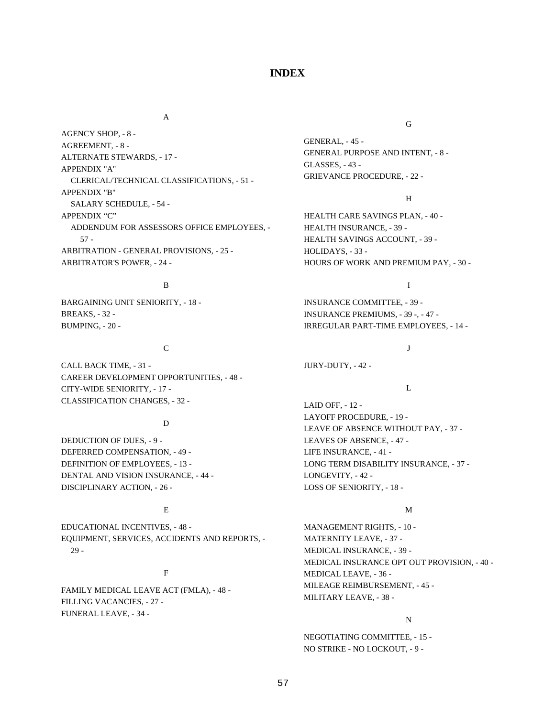## **INDEX**

A

<span id="page-56-0"></span>AGENCY SHOP, - 8 - AGREEMENT, - 8 - ALTERNATE STEWARDS, - 17 - APPENDIX "A" CLERICAL/TECHNICAL CLASSIFICATIONS, - 51 - APPENDIX "B" SALARY SCHEDULE, - 54 - APPENDIX "C" ADDENDUM FOR ASSESSORS OFFICE EMPLOYEES, - 57 - ARBITRATION - GENERAL PROVISIONS, - 25 - ARBITRATOR'S POWER, - 24 -

G

GENERAL, - 45 - GENERAL PURPOSE AND INTENT, - 8 - GLASSES, - 43 - GRIEVANCE PROCEDURE, - 22 -

#### H

HEALTH CARE SAVINGS PLAN, - 40 - HEALTH INSURANCE, - 39 - HEALTH SAVINGS ACCOUNT, - 39 - HOLIDAYS, - 33 - HOURS OF WORK AND PREMIUM PAY, - 30 -

#### I

INSURANCE COMMITTEE, - 39 - INSURANCE PREMIUMS, - 39 -, - 47 - IRREGULAR PART-TIME EMPLOYEES, - 14 -

#### J

JURY-DUTY, - 42 -

#### L

LAID OFF, - 12 - LAYOFF PROCEDURE, - 19 - LEAVE OF ABSENCE WITHOUT PAY, - 37 - LEAVES OF ABSENCE, - 47 - LIFE INSURANCE, - 41 - LONG TERM DISABILITY INSURANCE, - 37 - LONGEVITY, - 42 - LOSS OF SENIORITY, - 18 -

#### M

MANAGEMENT RIGHTS, - 10 - MATERNITY LEAVE, - 37 - MEDICAL INSURANCE, - 39 - MEDICAL INSURANCE OPT OUT PROVISION, - 40 - MEDICAL LEAVE, - 36 - MILEAGE REIMBURSEMENT, - 45 - MILITARY LEAVE, - 38 -

#### N

NEGOTIATING COMMITTEE, - 15 - NO STRIKE - NO LOCKOUT, - 9 -

B

BARGAINING UNIT SENIORITY, - 18 - BREAKS, - 32 - BUMPING, - 20 -

## C

CALL BACK TIME, - 31 - CAREER DEVELOPMENT OPPORTUNITIES, - 48 - CITY-WIDE SENIORITY, - 17 - CLASSIFICATION CHANGES, - 32 -

#### D

DEDUCTION OF DUES, - 9 - DEFERRED COMPENSATION, - 49 - DEFINITION OF EMPLOYEES, - 13 - DENTAL AND VISION INSURANCE, - 44 - DISCIPLINARY ACTION, - 26 -

#### E

EDUCATIONAL INCENTIVES, - 48 - EQUIPMENT, SERVICES, ACCIDENTS AND REPORTS, - 29 -

#### F

FAMILY MEDICAL LEAVE ACT (FMLA), - 48 - FILLING VACANCIES, - 27 - FUNERAL LEAVE, - 34 -